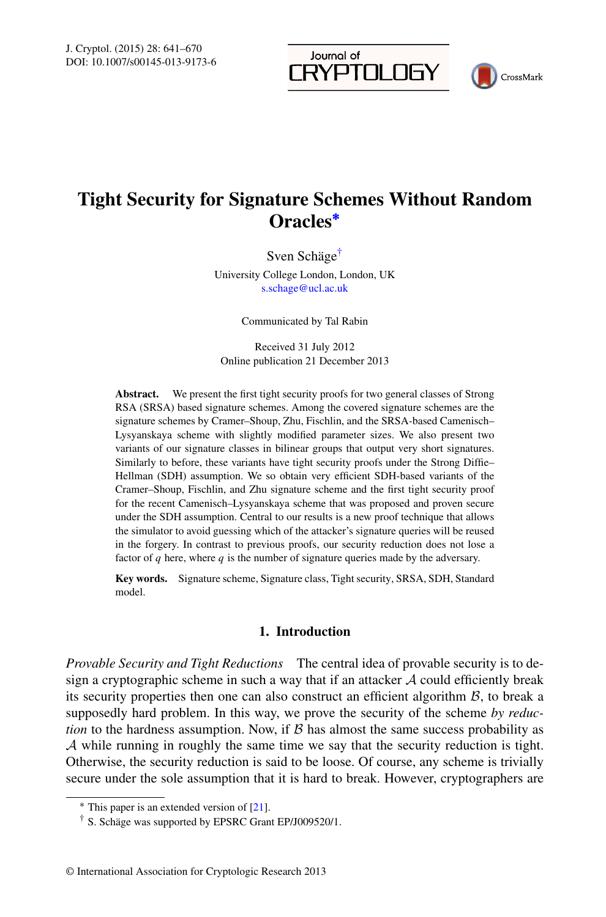Journal of **RYPTOLOGY** 



# **Tight Security for Signature Schemes Without Random Oracles[∗](#page-0-0)**

Sven Schäge[†](#page-0-1)

University College London, London, UK [s.schage@ucl.ac.uk](mailto:s.schage@ucl.ac.uk)

Communicated by Tal Rabin

Received 31 July 2012 Online publication 21 December 2013

**Abstract.** We present the first tight security proofs for two general classes of Strong RSA (SRSA) based signature schemes. Among the covered signature schemes are the signature schemes by Cramer–Shoup, Zhu, Fischlin, and the SRSA-based Camenisch– Lysyanskaya scheme with slightly modified parameter sizes. We also present two variants of our signature classes in bilinear groups that output very short signatures. Similarly to before, these variants have tight security proofs under the Strong Diffie– Hellman (SDH) assumption. We so obtain very efficient SDH-based variants of the Cramer–Shoup, Fischlin, and Zhu signature scheme and the first tight security proof for the recent Camenisch–Lysyanskaya scheme that was proposed and proven secure under the SDH assumption. Central to our results is a new proof technique that allows the simulator to avoid guessing which of the attacker's signature queries will be reused in the forgery. In contrast to previous proofs, our security reduction does not lose a factor of *q* here, where *q* is the number of signature queries made by the adversary.

**Key words.** Signature scheme, Signature class, Tight security, SRSA, SDH, Standard model.

# **1. Introduction**

<span id="page-0-1"></span><span id="page-0-0"></span>*Provable Security and Tight Reductions* The central idea of provable security is to design a cryptographic scheme in such a way that if an attacker  $A$  could efficiently break its security properties then one can also construct an efficient algorithm  $\beta$ , to break a supposedly hard problem. In this way, we prove the security of the scheme *by reduction* to the hardness assumption. Now, if  $\beta$  has almost the same success probability as A while running in roughly the same time we say that the security reduction is tight. Otherwise, the security reduction is said to be loose. Of course, any scheme is trivially secure under the sole assumption that it is hard to break. However, cryptographers are

<sup>∗</sup> This paper is an extended version of [[21\]](#page-29-0).

<sup>†</sup> S. Schäge was supported by EPSRC Grant EP/J009520/1.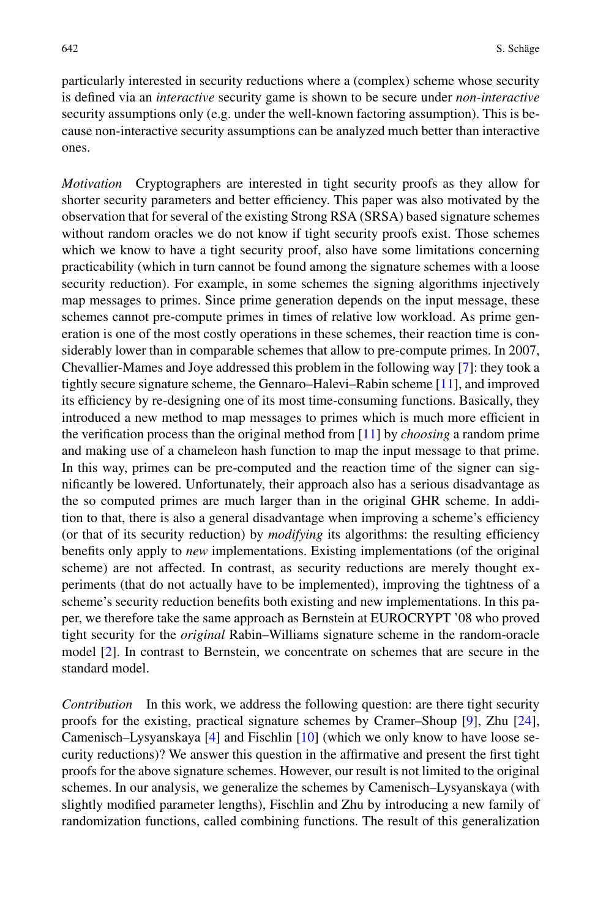particularly interested in security reductions where a (complex) scheme whose security is defined via an *interactive* security game is shown to be secure under *non-interactive* security assumptions only (e.g. under the well-known factoring assumption). This is because non-interactive security assumptions can be analyzed much better than interactive ones.

*Motivation* Cryptographers are interested in tight security proofs as they allow for shorter security parameters and better efficiency. This paper was also motivated by the observation that for several of the existing Strong RSA (SRSA) based signature schemes without random oracles we do not know if tight security proofs exist. Those schemes which we know to have a tight security proof, also have some limitations concerning practicability (which in turn cannot be found among the signature schemes with a loose security reduction). For example, in some schemes the signing algorithms injectively map messages to primes. Since prime generation depends on the input message, these schemes cannot pre-compute primes in times of relative low workload. As prime generation is one of the most costly operations in these schemes, their reaction time is considerably lower than in comparable schemes that allow to pre-compute primes. In 2007, Chevallier-Mames and Joye addressed this problem in the following way [\[7](#page-28-0)]: they took a tightly secure signature scheme, the Gennaro–Halevi–Rabin scheme [\[11](#page-28-1)], and improved its efficiency by re-designing one of its most time-consuming functions. Basically, they introduced a new method to map messages to primes which is much more efficient in the verification process than the original method from [\[11](#page-28-1)] by *choosing* a random prime and making use of a chameleon hash function to map the input message to that prime. In this way, primes can be pre-computed and the reaction time of the signer can significantly be lowered. Unfortunately, their approach also has a serious disadvantage as the so computed primes are much larger than in the original GHR scheme. In addition to that, there is also a general disadvantage when improving a scheme's efficiency (or that of its security reduction) by *modifying* its algorithms: the resulting efficiency benefits only apply to *new* implementations. Existing implementations (of the original scheme) are not affected. In contrast, as security reductions are merely thought experiments (that do not actually have to be implemented), improving the tightness of a scheme's security reduction benefits both existing and new implementations. In this paper, we therefore take the same approach as Bernstein at EUROCRYPT '08 who proved tight security for the *original* Rabin–Williams signature scheme in the random-oracle model [\[2](#page-28-2)]. In contrast to Bernstein, we concentrate on schemes that are secure in the standard model.

*Contribution* In this work, we address the following question: are there tight security proofs for the existing, practical signature schemes by Cramer–Shoup [\[9](#page-28-3)], Zhu [[24\]](#page-29-1), Camenisch–Lysyanskaya [[4\]](#page-28-4) and Fischlin [\[10](#page-28-5)] (which we only know to have loose security reductions)? We answer this question in the affirmative and present the first tight proofs for the above signature schemes. However, our result is not limited to the original schemes. In our analysis, we generalize the schemes by Camenisch–Lysyanskaya (with slightly modified parameter lengths), Fischlin and Zhu by introducing a new family of randomization functions, called combining functions. The result of this generalization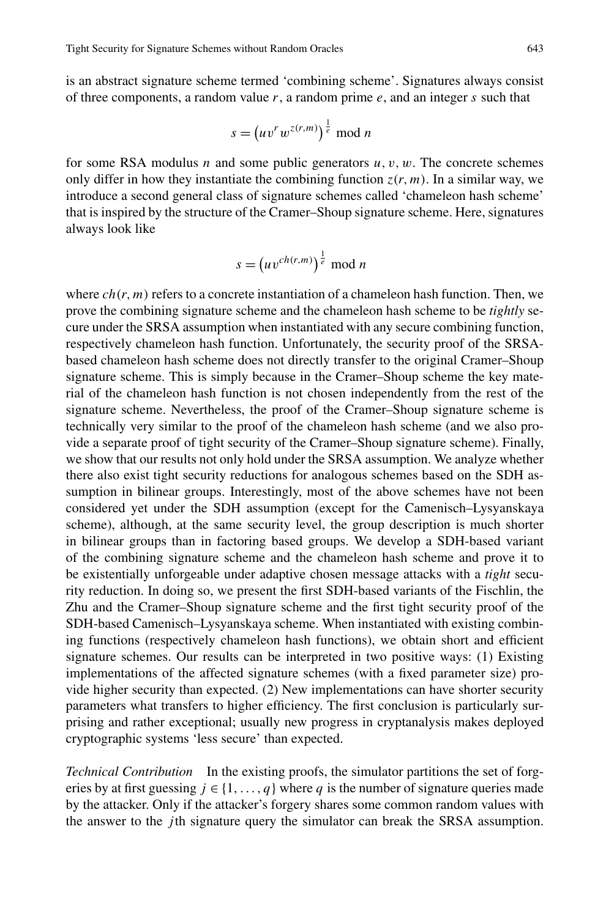is an abstract signature scheme termed 'combining scheme'. Signatures always consist of three components, a random value *r*, a random prime *e*, and an integer *s* such that

$$
s = \left(uv^rw^{z(r,m)}\right)^{\frac{1}{e}} \mod n
$$

for some RSA modulus *n* and some public generators  $u, v, w$ . The concrete schemes only differ in how they instantiate the combining function  $z(r, m)$ . In a similar way, we introduce a second general class of signature schemes called 'chameleon hash scheme' that is inspired by the structure of the Cramer–Shoup signature scheme. Here, signatures always look like

$$
s = \left(uv^{ch(r,m)}\right)^{\frac{1}{e}} \mod n
$$

where  $ch(r, m)$  refers to a concrete instantiation of a chameleon hash function. Then, we prove the combining signature scheme and the chameleon hash scheme to be *tightly* secure under the SRSA assumption when instantiated with any secure combining function, respectively chameleon hash function. Unfortunately, the security proof of the SRSAbased chameleon hash scheme does not directly transfer to the original Cramer–Shoup signature scheme. This is simply because in the Cramer–Shoup scheme the key material of the chameleon hash function is not chosen independently from the rest of the signature scheme. Nevertheless, the proof of the Cramer–Shoup signature scheme is technically very similar to the proof of the chameleon hash scheme (and we also provide a separate proof of tight security of the Cramer–Shoup signature scheme). Finally, we show that our results not only hold under the SRSA assumption. We analyze whether there also exist tight security reductions for analogous schemes based on the SDH assumption in bilinear groups. Interestingly, most of the above schemes have not been considered yet under the SDH assumption (except for the Camenisch–Lysyanskaya scheme), although, at the same security level, the group description is much shorter in bilinear groups than in factoring based groups. We develop a SDH-based variant of the combining signature scheme and the chameleon hash scheme and prove it to be existentially unforgeable under adaptive chosen message attacks with a *tight* security reduction. In doing so, we present the first SDH-based variants of the Fischlin, the Zhu and the Cramer–Shoup signature scheme and the first tight security proof of the SDH-based Camenisch–Lysyanskaya scheme. When instantiated with existing combining functions (respectively chameleon hash functions), we obtain short and efficient signature schemes. Our results can be interpreted in two positive ways: (1) Existing implementations of the affected signature schemes (with a fixed parameter size) provide higher security than expected. (2) New implementations can have shorter security parameters what transfers to higher efficiency. The first conclusion is particularly surprising and rather exceptional; usually new progress in cryptanalysis makes deployed cryptographic systems 'less secure' than expected.

*Technical Contribution* In the existing proofs, the simulator partitions the set of forgeries by at first guessing  $j \in \{1, ..., q\}$  where q is the number of signature queries made by the attacker. Only if the attacker's forgery shares some common random values with the answer to the *j* th signature query the simulator can break the SRSA assumption.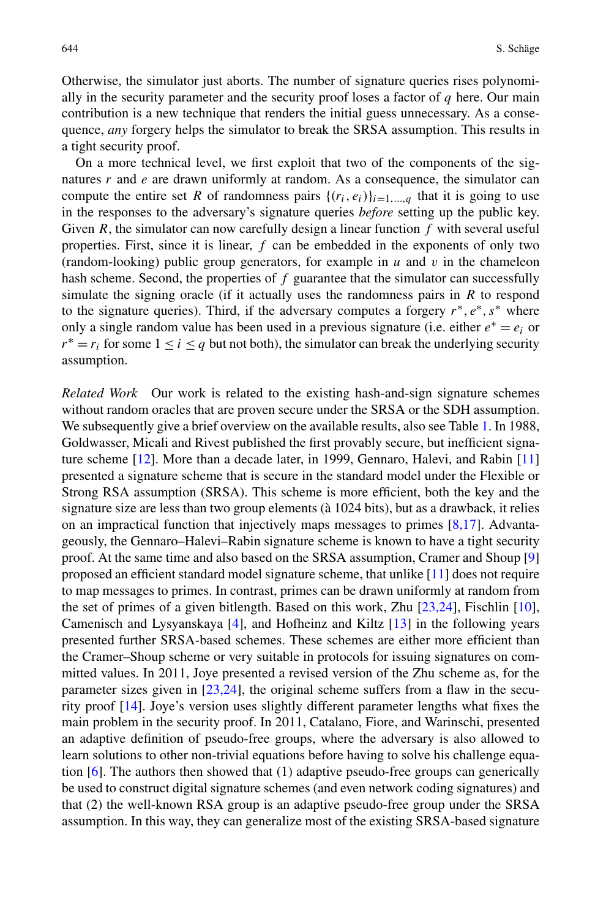Otherwise, the simulator just aborts. The number of signature queries rises polynomially in the security parameter and the security proof loses a factor of *q* here. Our main contribution is a new technique that renders the initial guess unnecessary. As a consequence, *any* forgery helps the simulator to break the SRSA assumption. This results in a tight security proof.

On a more technical level, we first exploit that two of the components of the signatures *r* and *e* are drawn uniformly at random. As a consequence, the simulator can compute the entire set *R* of randomness pairs  $\{(r_i, e_i)\}_{i=1,\dots,q}$  that it is going to use in the responses to the adversary's signature queries *before* setting up the public key. Given *R*, the simulator can now carefully design a linear function *f* with several useful properties. First, since it is linear, *f* can be embedded in the exponents of only two (random-looking) public group generators, for example in *u* and *v* in the chameleon hash scheme. Second, the properties of *f* guarantee that the simulator can successfully simulate the signing oracle (if it actually uses the randomness pairs in *R* to respond to the signature queries). Third, if the adversary computes a forgery *r*∗*,e*∗*,s*<sup>∗</sup> where only a single random value has been used in a previous signature (i.e. either  $e^* = e_i$  or  $r^* = r_i$  for some  $1 \le i \le q$  but not both), the simulator can break the underlying security assumption.

*Related Work* Our work is related to the existing hash-and-sign signature schemes without random oracles that are proven secure under the SRSA or the SDH assumption. We subsequently give a brief overview on the available results, also see Table [1](#page-4-0). In 1988, Goldwasser, Micali and Rivest published the first provably secure, but inefficient signature scheme [\[12](#page-28-6)]. More than a decade later, in 1999, Gennaro, Halevi, and Rabin [\[11](#page-28-1)] presented a signature scheme that is secure in the standard model under the Flexible or Strong RSA assumption (SRSA). This scheme is more efficient, both the key and the signature size are less than two group elements (à 1024 bits), but as a drawback, it relies on an impractical function that injectively maps messages to primes  $[8,17]$  $[8,17]$  $[8,17]$ . Advantageously, the Gennaro–Halevi–Rabin signature scheme is known to have a tight security proof. At the same time and also based on the SRSA assumption, Cramer and Shoup [\[9](#page-28-3)] proposed an efficient standard model signature scheme, that unlike [[11\]](#page-28-1) does not require to map messages to primes. In contrast, primes can be drawn uniformly at random from the set of primes of a given bitlength. Based on this work, Zhu [\[23](#page-29-3),[24](#page-29-1)], Fischlin [[10\]](#page-28-5), Camenisch and Lysyanskaya [\[4](#page-28-4)], and Hofheinz and Kiltz [\[13](#page-29-4)] in the following years presented further SRSA-based schemes. These schemes are either more efficient than the Cramer–Shoup scheme or very suitable in protocols for issuing signatures on committed values. In 2011, Joye presented a revised version of the Zhu scheme as, for the parameter sizes given in  $[23,24]$  $[23,24]$  $[23,24]$  $[23,24]$ , the original scheme suffers from a flaw in the security proof [[14\]](#page-29-5). Joye's version uses slightly different parameter lengths what fixes the main problem in the security proof. In 2011, Catalano, Fiore, and Warinschi, presented an adaptive definition of pseudo-free groups, where the adversary is also allowed to learn solutions to other non-trivial equations before having to solve his challenge equation  $[6]$  $[6]$ . The authors then showed that (1) adaptive pseudo-free groups can generically be used to construct digital signature schemes (and even network coding signatures) and that (2) the well-known RSA group is an adaptive pseudo-free group under the SRSA assumption. In this way, they can generalize most of the existing SRSA-based signature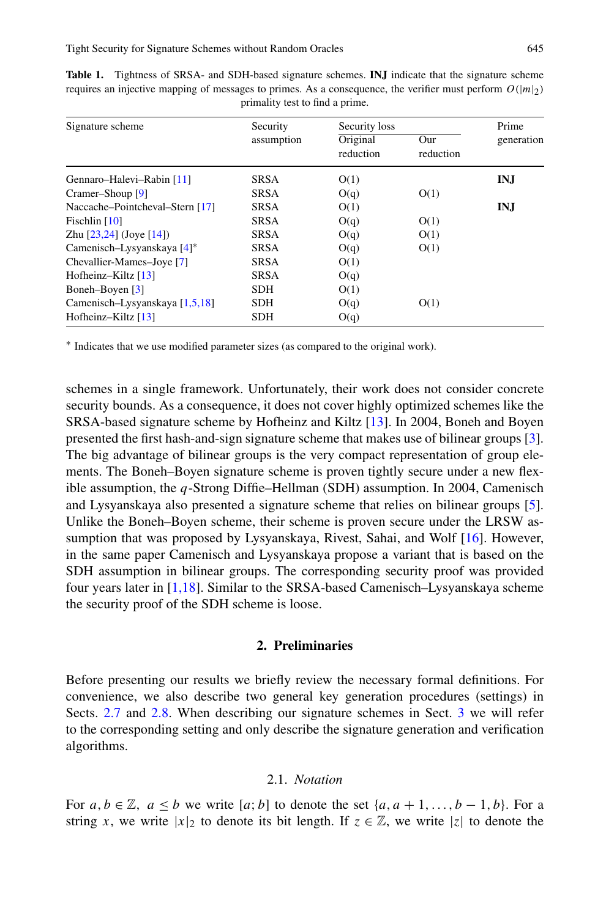| Signature scheme                | Security    | Security loss         |                  | Prime      |
|---------------------------------|-------------|-----------------------|------------------|------------|
|                                 | assumption  | Original<br>reduction | Our<br>reduction | generation |
| Gennaro-Halevi-Rabin [11]       | <b>SRSA</b> | O(1)                  |                  | INJ        |
| Cramer-Shoup [9]                | <b>SRSA</b> | O(q)                  | O(1)             |            |
| Naccache-Pointcheval-Stern [17] | <b>SRSA</b> | O(1)                  |                  | IN.I       |
| Fischlin $[10]$                 | <b>SRSA</b> | O(q)                  | O(1)             |            |
| Zhu $[23,24]$ (Joye $[14]$ )    | <b>SRSA</b> | O(q)                  | O(1)             |            |
| Camenisch-Lysyanskaya $[4]^*$   | <b>SRSA</b> | O(q)                  | O(1)             |            |
| Chevallier-Mames-Joye [7]       | <b>SRSA</b> | O(1)                  |                  |            |
| Hofheinz-Kiltz [13]             | <b>SRSA</b> | O(q)                  |                  |            |
| Boneh-Boyen [3]                 | <b>SDH</b>  | O(1)                  |                  |            |
| Camenisch-Lysyanskaya [1,5,18]  | <b>SDH</b>  | O(q)                  | O(1)             |            |
| Hofheinz-Kiltz $[13]$           | <b>SDH</b>  | O(q)                  |                  |            |

<span id="page-4-0"></span>**Table 1.** Tightness of SRSA- and SDH-based signature schemes. **INJ** indicate that the signature scheme requires an injective mapping of messages to primes. As a consequence, the verifier must perform  $O(|m|_2)$ primality test to find a prime.

<sup>∗</sup> Indicates that we use modified parameter sizes (as compared to the original work).

schemes in a single framework. Unfortunately, their work does not consider concrete security bounds. As a consequence, it does not cover highly optimized schemes like the SRSA-based signature scheme by Hofheinz and Kiltz [\[13](#page-29-4)]. In 2004, Boneh and Boyen presented the first hash-and-sign signature scheme that makes use of bilinear groups [[3\]](#page-28-9). The big advantage of bilinear groups is the very compact representation of group elements. The Boneh–Boyen signature scheme is proven tightly secure under a new flexible assumption, the *q*-Strong Diffie–Hellman (SDH) assumption. In 2004, Camenisch and Lysyanskaya also presented a signature scheme that relies on bilinear groups [[5\]](#page-28-11). Unlike the Boneh–Boyen scheme, their scheme is proven secure under the LRSW assumption that was proposed by Lysyanskaya, Rivest, Sahai, and Wolf [[16\]](#page-29-7). However, in the same paper Camenisch and Lysyanskaya propose a variant that is based on the SDH assumption in bilinear groups. The corresponding security proof was provided four years later in [[1,](#page-28-10)[18](#page-29-6)]. Similar to the SRSA-based Camenisch–Lysyanskaya scheme the security proof of the SDH scheme is loose.

## **2. Preliminaries**

Before presenting our results we briefly review the necessary formal definitions. For convenience, we also describe two general key generation procedures (settings) in Sects. [2.7](#page-9-0) and [2.8](#page-10-0). When describing our signature schemes in Sect. [3](#page-11-0) we will refer to the corresponding setting and only describe the signature generation and verification algorithms.

#### 2.1. *Notation*

For  $a, b \in \mathbb{Z}$ ,  $a \leq b$  we write  $[a, b]$  to denote the set  $\{a, a+1, \ldots, b-1, b\}$ . For a string *x*, we write  $|x|_2$  to denote its bit length. If  $z \in \mathbb{Z}$ , we write  $|z|$  to denote the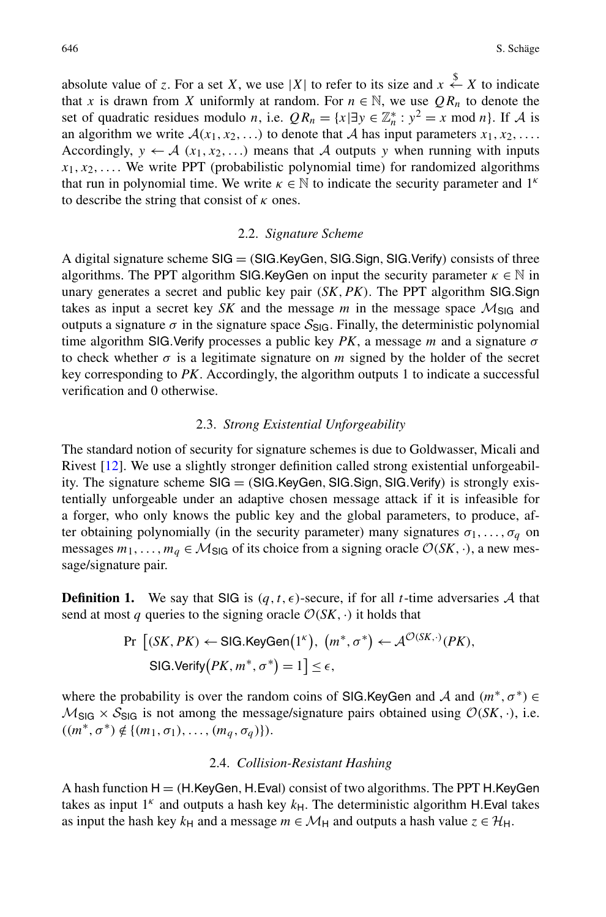absolute value of *z*. For a set *X*, we use |*X*| to refer to its size and  $x \overset{\$}{\leftarrow} X$  to indicate that *x* is drawn from *X* uniformly at random. For  $n \in \mathbb{N}$ , we use  $QR_n$  to denote the set of quadratic residues modulo *n*, i.e.  $QR_n = \{x | \exists y \in \mathbb{Z}_n^* : y^2 = x \text{ mod } n\}$ . If A is an algorithm we write  $A(x_1, x_2, \ldots)$  to denote that A has input parameters  $x_1, x_2, \ldots$ Accordingly,  $y \leftarrow A$  ( $x_1, x_2, \ldots$ ) means that A outputs y when running with inputs  $x_1, x_2, \ldots$ . We write PPT (probabilistic polynomial time) for randomized algorithms that run in polynomial time. We write  $\kappa \in \mathbb{N}$  to indicate the security parameter and  $1^k$ to describe the string that consist of *κ* ones.

#### 2.2. *Signature Scheme*

A digital signature scheme SIG = *(*SIG*.*KeyGen*,*SIG*.*Sign*,*SIG*.*Verify*)* consists of three algorithms. The PPT algorithm SIG.KeyGen on input the security parameter  $\kappa \in \mathbb{N}$  in unary generates a secret and public key pair *(SK,PK)*. The PPT algorithm SIG*.*Sign takes as input a secret key *SK* and the message *m* in the message space  $M_{\text{SIG}}$  and outputs a signature  $\sigma$  in the signature space  $S_{\text{SIG}}$ . Finally, the deterministic polynomial time algorithm SIG*.*Verify processes a public key *PK*, a message *m* and a signature *σ* to check whether  $\sigma$  is a legitimate signature on *m* signed by the holder of the secret key corresponding to *PK*. Accordingly, the algorithm outputs 1 to indicate a successful verification and 0 otherwise.

# 2.3. *Strong Existential Unforgeability*

The standard notion of security for signature schemes is due to Goldwasser, Micali and Rivest [\[12](#page-28-6)]. We use a slightly stronger definition called strong existential unforgeability. The signature scheme SIG = *(*SIG*.*KeyGen*,*SIG*.*Sign*,*SIG*.*Verify*)* is strongly existentially unforgeable under an adaptive chosen message attack if it is infeasible for a forger, who only knows the public key and the global parameters, to produce, after obtaining polynomially (in the security parameter) many signatures  $\sigma_1, \ldots, \sigma_q$  on messages  $m_1, \ldots, m_q \in M_{\text{SIG}}$  of its choice from a signing oracle  $\mathcal{O}(SK, \cdot)$ , a new message/signature pair.

**Definition 1.** We say that SIG is  $(q, t, \epsilon)$ -secure, if for all *t*-time adversaries A that send at most *q* queries to the signing oracle  $\mathcal{O}(SK, \cdot)$  it holds that

$$
\Pr\left[(SK, PK) \leftarrow \text{SIG.KeyGen}(1^{\kappa}), (m^*, \sigma^*) \leftarrow \mathcal{A}^{\mathcal{O}(SK, \cdot)}(PK),\right.\right]
$$
  

$$
\text{SIG.Verity}(PK, m^*, \sigma^*) = 1 \le \epsilon,
$$

where the probability is over the random coins of SIG.KeyGen and A and  $(m^*, \sigma^*) \in$  $M_{\text{SIG}} \times S_{\text{SIG}}$  is not among the message/signature pairs obtained using  $\mathcal{O}(SK, \cdot)$ , i.e.  $((m^*, \sigma^*) \notin \{(m_1, \sigma_1), \ldots, (m_q, \sigma_q)\}).$ 

## 2.4. *Collision-Resistant Hashing*

A hash function H = *(*H*.*KeyGen*,* H*.*Eval*)* consist of two algorithms. The PPT H*.*KeyGen takes as input  $1^k$  and outputs a hash key  $k_H$ . The deterministic algorithm H. Eval takes as input the hash key  $k_H$  and a message  $m \in \mathcal{M}_H$  and outputs a hash value  $z \in \mathcal{H}_H$ .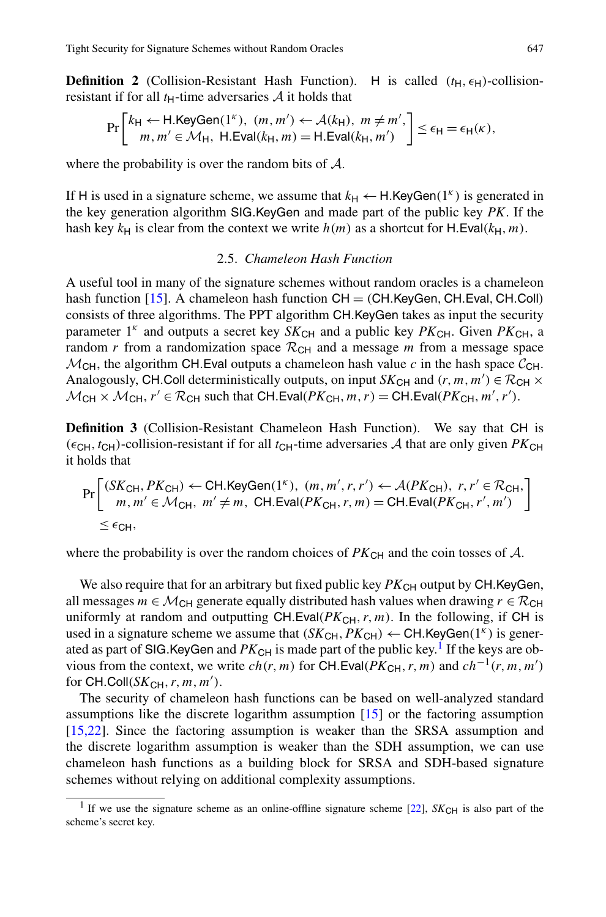**Definition 2** (Collision-Resistant Hash Function). H is called  $(t_H, \epsilon_H)$ -collisionresistant if for all  $t_H$ -time adversaries  $A$  it holds that

$$
\Pr\left[\begin{matrix}k_{\mathsf{H}} & \leftarrow \mathsf{H}.\mathsf{KeyGen}(1^{\kappa}), \ (m, m') & \leftarrow \mathcal{A}(k_{\mathsf{H}}), \ m \neq m',\\m, m' \in \mathcal{M}_{\mathsf{H}}, \ \mathsf{H}.\mathsf{Eval}(k_{\mathsf{H}}, m) = \mathsf{H}.\mathsf{Eval}(k_{\mathsf{H}}, m')\end{matrix}\right] \leq \epsilon_{\mathsf{H}} = \epsilon_{\mathsf{H}}(\kappa),
$$

where the probability is over the random bits of A.

If H is used in a signature scheme, we assume that  $k_H \leftarrow H$ . KeyGen(1<sup>*k*</sup>) is generated in the key generation algorithm SIG*.*KeyGen and made part of the public key *PK*. If the hash key  $k_H$  is clear from the context we write  $h(m)$  as a shortcut for H.Eval( $k_H$ , m).

## 2.5. *Chameleon Hash Function*

A useful tool in many of the signature schemes without random oracles is a chameleon hash function [\[15](#page-29-8)]. A chameleon hash function CH = *(*CH*.*KeyGen*,* CH*.*Eval*,* CH*.*Coll*)* consists of three algorithms. The PPT algorithm CH*.*KeyGen takes as input the security parameter  $1^k$  and outputs a secret key  $SK_{\text{CH}}$  and a public key  $PK_{\text{CH}}$ . Given  $PK_{\text{CH}}$ , a random *r* from a randomization space  $\mathcal{R}_{CH}$  and a message *m* from a message space  $M<sub>CH</sub>$ , the algorithm CH. Eval outputs a chameleon hash value *c* in the hash space  $C<sub>CH</sub>$ . Analogously, CH.Coll deterministically outputs, on input  $SK_{CH}$  and  $(r, m, m') \in \mathcal{R}_{CH} \times$  $M_{CH} \times M_{CH}$ ,  $r' \in \mathcal{R}_{CH}$  such that CH. Eval( $PK_{CH}$ ,  $m, r$ ) = CH. Eval( $PK_{CH}$ ,  $m', r'$ ).

**Definition 3** (Collision-Resistant Chameleon Hash Function). We say that CH is  $(\epsilon_{CH}, t_{CH})$ -collision-resistant if for all  $t_{CH}$ -time adversaries A that are only given *PK*<sub>CH</sub> it holds that

$$
\Pr\left[\begin{array}{c} (SK_{\text{CH}}, PK_{\text{CH}}) \leftarrow \text{CH}.\text{KeyGen}(1^{\kappa}), (m, m', r, r') \leftarrow \mathcal{A}(PK_{\text{CH}}), r, r' \in \mathcal{R}_{\text{CH}},\\ m, m' \in \mathcal{M}_{\text{CH}}, m' \neq m, \text{ CH}.\text{Eval}(PK_{\text{CH}}, r, m) = \text{CH}.\text{Eval}(PK_{\text{CH}}, r', m') \end{array}\right]
$$
  

$$
\leq \epsilon_{\text{CH}},
$$

where the probability is over the random choices of  $PK_{\text{CH}}$  and the coin tosses of  $A$ .

We also require that for an arbitrary but fixed public key  $PK_{CH}$  output by CH.KeyGen, all messages  $m \in \mathcal{M}_{CH}$  generate equally distributed hash values when drawing  $r \in \mathcal{R}_{CH}$ uniformly at random and outputting CH.Eval $(PK_{CH}, r, m)$ . In the following, if CH is used in a signature scheme we assume that  $(SK_{CH}, PK_{CH}) \leftarrow$  CH.KeyGen $(1^k)$  is generated as part of SIG.KeyGen and  $PK_{CH}$  is made part of the public key.<sup>1</sup> If the keys are obvious from the context, we write  $ch(r, m)$  for CH.Eval( $PK_{CH}, r, m$ ) and  $ch^{-1}(r, m, m')$ for CH.Coll( $SK_{CH}$ , r, m, m').

<span id="page-6-0"></span>The security of chameleon hash functions can be based on well-analyzed standard assumptions like the discrete logarithm assumption [[15\]](#page-29-8) or the factoring assumption [\[15](#page-29-8),[22\]](#page-29-9). Since the factoring assumption is weaker than the SRSA assumption and the discrete logarithm assumption is weaker than the SDH assumption, we can use chameleon hash functions as a building block for SRSA and SDH-based signature schemes without relying on additional complexity assumptions.

<sup>&</sup>lt;sup>1</sup> If we use the signature scheme as an online-offline signature scheme [[22\]](#page-29-9),  $SK_{CH}$  is also part of the scheme's secret key.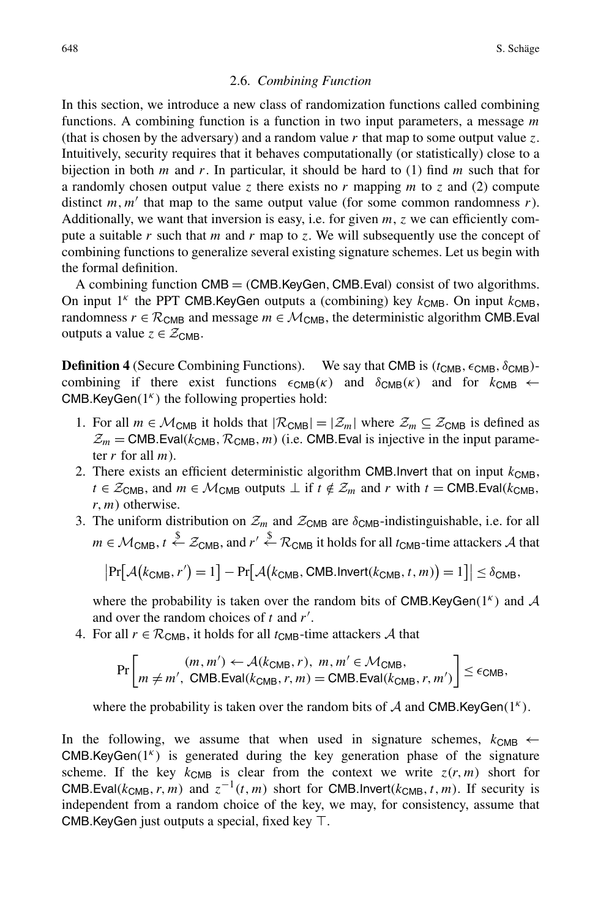## <span id="page-7-0"></span>2.6. *Combining Function*

In this section, we introduce a new class of randomization functions called combining functions. A combining function is a function in two input parameters, a message *m* (that is chosen by the adversary) and a random value *r* that map to some output value *z*. Intuitively, security requires that it behaves computationally (or statistically) close to a bijection in both *m* and *r*. In particular, it should be hard to (1) find *m* such that for a randomly chosen output value *z* there exists no *r* mapping *m* to *z* and (2) compute distinct  $m, m'$  that map to the same output value (for some common randomness  $r$ ). Additionally, we want that inversion is easy, i.e. for given *m*, *z* we can efficiently compute a suitable *r* such that *m* and *r* map to *z*. We will subsequently use the concept of combining functions to generalize several existing signature schemes. Let us begin with the formal definition.

A combining function CMB = *(*CMB*.*KeyGen*,* CMB*.*Eval*)* consist of two algorithms. On input  $1^k$  the PPT CMB. KeyGen outputs a (combining) key  $k_{CMB}$ . On input  $k_{CMB}$ , randomness  $r \in \mathcal{R}_{CMB}$  and message  $m \in \mathcal{M}_{CMB}$ , the deterministic algorithm CMB. Eval outputs a value  $z \in \mathcal{Z}_{CMB}$ .

**Definition 4** (Secure Combining Functions). We say that CMB is  $(t_{CMB}, \epsilon_{CMB}, \delta_{CMB})$ combining if there exist functions  $\epsilon_{CMB}(\kappa)$  and  $\delta_{CMB}(\kappa)$  and for  $k_{CMB} \leftarrow$ CMB*.*KeyGen*(*1*<sup>κ</sup> )* the following properties hold:

- 1. For all  $m \in \mathcal{M}_{CMB}$  it holds that  $|\mathcal{R}_{CMB}| = |\mathcal{Z}_m|$  where  $\mathcal{Z}_m \subseteq \mathcal{Z}_{CMB}$  is defined as  $\mathcal{Z}_m$  = CMB.Eval( $k_{CMB}$ ,  $\mathcal{R}_{CMB}$ ,  $m$ ) (i.e. CMB.Eval is injective in the input parameter *r* for all *m*).
- 2. There exists an efficient deterministic algorithm CMB. Invert that on input  $k_{\text{CMB}}$ ,  $t \in \mathcal{Z}_{\text{CMB}}$ , and  $m \in \mathcal{M}_{\text{CMB}}$  outputs  $\perp$  if  $t \notin \mathcal{Z}_m$  and  $r$  with  $t = \text{CMB}$ *.*Eval*(k<sub>CMB</sub>*, *r,m)* otherwise.
- 3. The uniform distribution on  $\mathcal{Z}_m$  and  $\mathcal{Z}_{\text{CMB}}$  are  $\delta_{\text{CMB}}$ -indistinguishable, i.e. for all  $m \in \mathcal{M}_{\text{CMB}}, t \stackrel{\$}{\leftarrow} \mathcal{Z}_{\text{CMB}},$  and  $r' \stackrel{\$}{\leftarrow} \mathcal{R}_{\text{CMB}}$  it holds for all  $t_{\text{CMB}}$ -time attackers  $\mathcal{A}$  that

$$
|\Pr[\mathcal{A}(k_{CMB}, r') = 1] - \Pr[\mathcal{A}(k_{CMB}, CMB\text{.Invert}(k_{CMB}, t, m)) = 1]| \le \delta_{CMB},
$$

where the probability is taken over the random bits of CMB.KeyGen( $1<sup>k</sup>$ ) and A and over the random choices of *t* and *r* .

4. For all  $r \in \mathcal{R}_{CMB}$ , it holds for all  $t_{CMB}$ -time attackers A that

$$
\Pr\left[m \neq m', \text{ CMB.Eval}(k_{\text{CMB}}, r), m, m' \in \mathcal{M}_{\text{CMB}}, \atop m \neq m', \text{ CMB.Eval}(k_{\text{CMB}}, r, m) = \text{CMB.Eval}(k_{\text{CMB}}, r, m')\right] \leq \epsilon_{\text{CMB}},
$$

where the probability is taken over the random bits of  $A$  and CMB.KeyGen( $1<sup>k</sup>$ ).

In the following, we assume that when used in signature schemes,  $k_{CMB} \leftarrow$ CMB*.*KeyGen*(*1*<sup>κ</sup> )* is generated during the key generation phase of the signature scheme. If the key  $k_{CMB}$  is clear from the context we write  $z(r, m)$  short for CMB*.*Eval( $k_{CMB}$ , r, m) and  $z^{-1}(t, m)$  short for CMB*.Invert*( $k_{CMB}$ , t, m). If security is independent from a random choice of the key, we may, for consistency, assume that CMB. Key Gen just outputs a special, fixed key  $\top$ .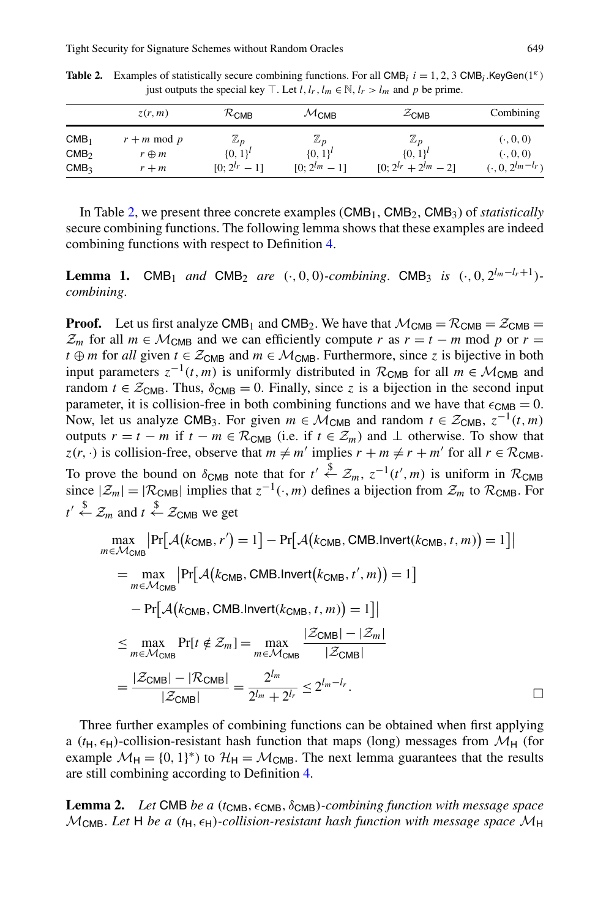|                                      | z(r, m)                        | $\mathcal{R}_{\textsf{CMB}}$   | $\mathcal{M}_{\mathsf{CMB}}$   | $\mathcal{Z}_{\text{CMB}}$     | Combining              |
|--------------------------------------|--------------------------------|--------------------------------|--------------------------------|--------------------------------|------------------------|
| CMB <sub>1</sub><br>CMB <sub>2</sub> | $r + m \mod p$<br>$r \oplus m$ | $\mathbb{Z}_p$<br>$\{0, 1\}^t$ | $\mathbb{Z}_p$<br>$\{0, 1\}^t$ | $\mathbb{Z}_p$<br>$\{0, 1\}^l$ | (0, 0, 0)<br>(0, 0, 0) |
| CMB <sub>3</sub>                     | $r + m$                        | $[0; 2^{l_r} - 1]$             | $[0: 2^{lm} - 1]$              | $[0; 2^{l_r} + 2^{l_m} - 2]$   | $(0, 0, 2^{lm-l_r})$   |

<span id="page-8-0"></span>**Table 2.** Examples of statistically secure combining functions. For all CMB<sub>i</sub>  $i = 1, 2, 3$  CMB<sub>i</sub>.KeyGen $(1^k)$ just outputs the special key  $\top$ . Let  $l, l_r, l_m \in \mathbb{N}, l_r > l_m$  and p be prime.

In Table [2,](#page-8-0) we present three concrete examples (CMB<sub>1</sub>, CMB<sub>2</sub>, CMB<sub>3</sub>) of *statistically* secure combining functions. The following lemma shows that these examples are indeed combining functions with respect to Definition [4.](#page-7-0)

**Lemma 1.** CMB<sub>1</sub> and CMB<sub>2</sub> are  $(\cdot, 0, 0)$ *-combining*. CMB<sub>3</sub> is  $(\cdot, 0, 2^{l_m-l_r+1})$ *combining*.

**Proof.** Let us first analyze CMB<sub>1</sub> and CMB<sub>2</sub>. We have that  $M_{CMB} = \mathcal{R}_{CMB} = \mathcal{Z}_{CMB}$  $\mathcal{Z}_m$  for all  $m \in \mathcal{M}_{CMB}$  and we can efficiently compute *r* as  $r = t - m \mod p$  or  $r =$ *t* ⊕ *m* for *all* given *t* ∈  $Z_{\text{CMB}}$  and  $m \in M_{\text{CMB}}$ . Furthermore, since *z* is bijective in both input parameters  $z^{-1}(t, m)$  is uniformly distributed in  $\mathcal{R}_{CMB}$  for all  $m \in \mathcal{M}_{CMB}$  and random  $t \in \mathcal{Z}_{CMB}$ . Thus,  $\delta_{CMB} = 0$ . Finally, since *z* is a bijection in the second input parameter, it is collision-free in both combining functions and we have that  $\epsilon_{\text{CMB}} = 0$ . Now, let us analyze CMB<sub>3</sub>. For given  $m \in \mathcal{M}_{CMB}$  and random  $t \in \mathcal{Z}_{CMB}$ ,  $z^{-1}(t, m)$ outputs  $r = t - m$  if  $t - m \in \mathcal{R}_{CMB}$  (i.e. if  $t \in \mathcal{Z}_m$ ) and  $\perp$  otherwise. To show that  $z(r, \cdot)$  is collision-free, observe that  $m \neq m'$  implies  $r + m \neq r + m'$  for all  $r \in \mathcal{R}_{CMB}$ . To prove the bound on  $\delta_{\text{CMB}}$  note that for  $t' \overset{\$}{\leftarrow} \mathcal{Z}_m$ ,  $z^{-1}(t', m)$  is uniform in  $\mathcal{R}_{\text{CMB}}$ since  $|\mathcal{Z}_m| = |\mathcal{R}_{\text{CMB}}|$  implies that  $z^{-1}(\cdot,m)$  defines a bijection from  $\mathcal{Z}_m$  to  $\mathcal{R}_{\text{CMB}}$ . For  $t' \overset{\$}{\leftarrow} \mathcal{Z}_m$  and  $t \overset{\$}{\leftarrow} \mathcal{Z}_{\text{CMB}}$  we get

$$
\max_{m \in \mathcal{M}_{\text{CMB}}} \left| \Pr[\mathcal{A}(k_{\text{CMB}}, r') = 1] - \Pr[\mathcal{A}(k_{\text{CMB}}, \text{CMB}.Invert(k_{\text{CMB}}, t, m)) = 1] \right|
$$
\n
$$
= \max_{m \in \mathcal{M}_{\text{CMB}}} \left| \Pr[\mathcal{A}(k_{\text{CMB}}, \text{CMB}.Invert(k_{\text{CMB}}, t', m)) = 1] \right|
$$
\n
$$
- \Pr[\mathcal{A}(k_{\text{CMB}}, \text{CMB}.Invert(k_{\text{CMB}}, t, m)) = 1] \right|
$$
\n
$$
\leq \max_{m \in \mathcal{M}_{\text{CMB}}} \Pr[t \notin \mathcal{Z}_m] = \max_{m \in \mathcal{M}_{\text{CMB}}} \frac{|\mathcal{Z}_{\text{CMB}}| - |\mathcal{Z}_m|}{|\mathcal{Z}_{\text{CMB}}|}
$$
\n
$$
= \frac{|\mathcal{Z}_{\text{CMB}}| - |\mathcal{R}_{\text{CMB}}|}{|\mathcal{Z}_{\text{CMB}}|} = \frac{2^{l_m}}{2^{l_m} + 2^{l_r}} \leq 2^{l_m - l_r}.
$$

<span id="page-8-1"></span>Three further examples of combining functions can be obtained when first applying a  $(t_H, \epsilon_H)$ -collision-resistant hash function that maps (long) messages from  $\mathcal{M}_H$  (for example  $\mathcal{M}_{H} = \{0, 1\}^{*}$  to  $\mathcal{H}_{H} = \mathcal{M}_{CMB}$ . The next lemma guarantees that the results are still combining according to Definition [4.](#page-7-0)

**Lemma 2.** *Let* CMB *be a* (*t*<sub>CMB</sub>, ε<sub>CMB</sub>, δ<sub>CMB</sub>)*-combining function with message space*  $M_{\text{CMB}}$ . Let H be a ( $t_{\text{H}}$ ,  $\epsilon_{\text{H}}$ )-collision-resistant hash function with message space  $M_{\text{H}}$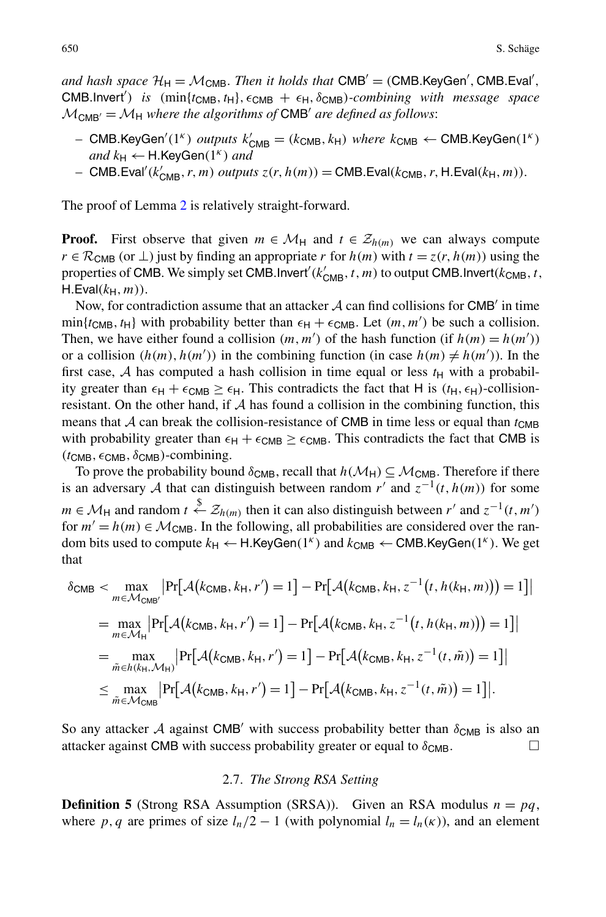and hash space  $\mathcal{H}_{H} = \mathcal{M}_{CMB}$ . *Then it holds that*  $CMB' = (CMB.KeyGen', CMB.Eval',$  $CMB$ *.Invert'*) *is*  $(\min\{t_{\text{CMB}}, t_{\text{H}}\}, \epsilon_{\text{CMB}} + \epsilon_{\text{H}}, \delta_{\text{CMB}})$ *-combining with message space*  $M_{CMB'} = M_H$  where the algorithms of CMB' are defined as follows:

- $-$  CMB.KeyGen<sup>'</sup>(1<sup>*κ*</sup>) *outputs*  $k'_{\text{CMB}} = (k_{\text{CMB}}, k_{\text{H}})$  *where*  $k_{\text{CMB}} \leftarrow \text{CMB}$ .KeyGen(1<sup>*κ*</sup>)  $and k_H \leftarrow H.KeyGen(1^k)$  *and*
- $-$  CMB*.Eval<sup>'</sup>(k'<sub>CMB</sub>, r, m) outputs*  $z(r, h(m)) = \text{CMB}$ *.Eval*(k<sub>CMB</sub>, r, H.Eval(k<sub>H</sub>, *m*)).

The proof of Lemma [2](#page-8-1) is relatively straight-forward.

**Proof.** First observe that given  $m \in \mathcal{M}_{H}$  and  $t \in \mathcal{Z}_{h(m)}$  we can always compute  $r \in \mathcal{R}_{\text{CMB}}$  (or  $\perp$ ) just by finding an appropriate *r* for  $h(m)$  with  $t = z(r, h(m))$  using the properties of CMB. We simply set CMB.Invert<sup>'</sup>( $k'_{\text{CMB}}, t, m$ ) to output CMB.Invert( $k_{\text{CMB}}, t$ ,  $H.Eval(k_H, m)$ ).

Now, for contradiction assume that an attacker  $A$  can find collisions for CMB' in time  $min\{t_{CMB}, t_H\}$  with probability better than  $\epsilon_H + \epsilon_{CMB}$ . Let  $(m, m')$  be such a collision. Then, we have either found a collision  $(m, m')$  of the hash function (if  $h(m) = h(m')$ ) or a collision  $(h(m), h(m'))$  in the combining function (in case  $h(m) \neq h(m')$ ). In the first case, A has computed a hash collision in time equal or less  $t_H$  with a probability greater than  $\epsilon_H + \epsilon_{CMB} \geq \epsilon_H$ . This contradicts the fact that H is  $(t_H, \epsilon_H)$ -collisionresistant. On the other hand, if  $A$  has found a collision in the combining function, this means that  $\mathcal A$  can break the collision-resistance of CMB in time less or equal than  $t_{CMB}$ with probability greater than  $\epsilon_H + \epsilon_{CMB} \ge \epsilon_{CMB}$ . This contradicts the fact that CMB is  $(t_{CMB}, \epsilon_{CMB}, \delta_{CMB})$ -combining.

To prove the probability bound  $\delta_{\text{CMB}}$ , recall that  $h(\mathcal{M}_H) \subseteq \mathcal{M}_{\text{CMB}}$ . Therefore if there is an adversary A that can distinguish between random  $r'$  and  $z^{-1}(t, h(m))$  for some *m* ∈  $M_H$  and random *t*  $\xleftarrow{\$} Z_{h(m)}$  then it can also distinguish between *r'* and  $z^{-1}(t, m')$ for  $m' = h(m) \in \mathcal{M}_{CMB}$ . In the following, all probabilities are considered over the random bits used to compute  $k_H$  ← H.KeyGen(1<sup>*κ*</sup>)</sub> and  $k_{CMB}$  ← CMB.KeyGen(1<sup>*κ*</sup>). We get that

$$
\delta_{\text{CMB}} < \max_{m \in \mathcal{M}_{\text{CMB}}'} \left| \Pr \left[ A(k_{\text{CMB}}, k_{\text{H}}, r') = 1 \right] - \Pr \left[ A(k_{\text{CMB}}, k_{\text{H}}, z^{-1}(t, h(k_{\text{H}}, m)) \right) = 1 \right] \right|
$$
\n
$$
= \max_{m \in \mathcal{M}_{\text{H}}} \left| \Pr \left[ A(k_{\text{CMB}}, k_{\text{H}}, r') = 1 \right] - \Pr \left[ A(k_{\text{CMB}}, k_{\text{H}}, z^{-1}(t, h(k_{\text{H}}, m)) \right) = 1 \right] \right|
$$
\n
$$
= \max_{\tilde{m} \in h(k_{\text{H}}, \mathcal{M}_{\text{H}})} \left| \Pr \left[ A(k_{\text{CMB}}, k_{\text{H}}, r') = 1 \right] - \Pr \left[ A(k_{\text{CMB}}, k_{\text{H}}, z^{-1}(t, \tilde{m})) = 1 \right] \right|
$$
\n
$$
\leq \max_{\tilde{m} \in \mathcal{M}_{\text{CMB}}} \left| \Pr \left[ A(k_{\text{CMB}}, k_{\text{H}}, r') = 1 \right] - \Pr \left[ A(k_{\text{CMB}}, k_{\text{H}}, z^{-1}(t, \tilde{m})) = 1 \right] \right|.
$$

<span id="page-9-0"></span>So any attacker A against CMB' with success probability better than  $\delta_{\text{CMB}}$  is also an attacker against CMB with success probability greater or equal to  $\delta_{\text{CMB}}$ .

#### 2.7. *The Strong RSA Setting*

**Definition 5** (Strong RSA Assumption (SRSA)). Given an RSA modulus  $n = pq$ , where p, q are primes of size  $l_n/2 - 1$  (with polynomial  $l_n = l_n(\kappa)$ ), and an element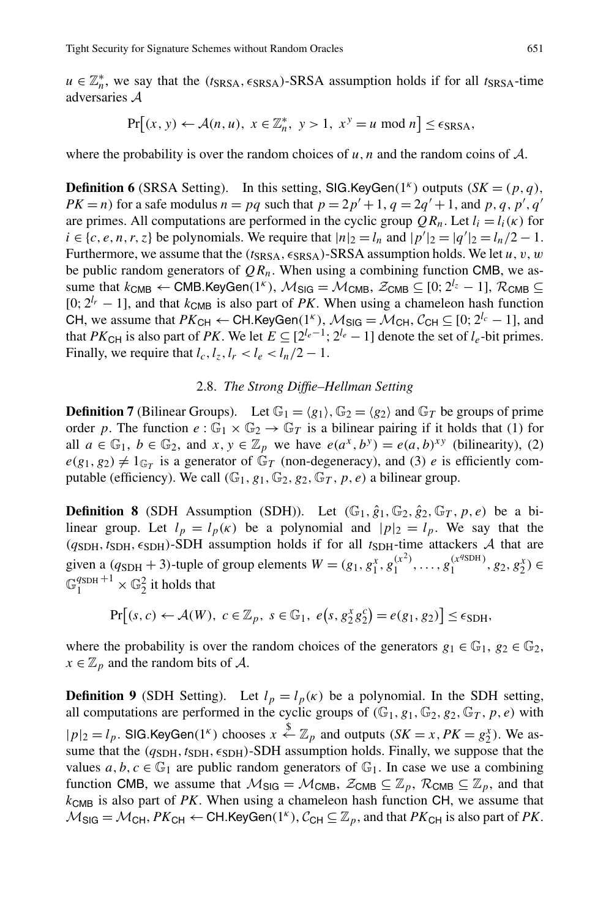$u \in \mathbb{Z}_n^*$ , we say that the *(t*<sub>SRSA</sub>,  $\epsilon_{SRSA}$ )-SRSA assumption holds if for all *t*<sub>SRSA</sub>-time adversaries A

$$
\Pr[(x, y) \leftarrow \mathcal{A}(n, u), \ x \in \mathbb{Z}_n^*, \ y > 1, \ x^y = u \text{ mod } n] \le \epsilon_{\text{SRSA}},
$$

where the probability is over the random choices of  $u, n$  and the random coins of  $A$ .

<span id="page-10-0"></span>**Definition 6** (SRSA Setting). In this setting, SIG.KeyGen $(1^k)$  outputs  $(SK = (p, q)$ ,  $PK = n$ ) for a safe modulus  $n = pq$  such that  $p = 2p' + 1$ ,  $q = 2q' + 1$ , and p, q, p', q' are primes. All computations are performed in the cyclic group  $QR_n$ . Let  $l_i = l_i(\kappa)$  for *i* ∈ {*c*, *e*, *n*, *r*, *z*} be polynomials. We require that  $|n|_2 = l_n$  and  $|p'|_2 = |q'|_2 = l_n/2 - 1$ . Furthermore, we assume that the  $(t_{SRSA}, \epsilon_{SRSA})$ -SRSA assumption holds. We let  $u, v, w$ be public random generators of  $QR_n$ . When using a combining function CMB, we assume that  $k_{CMB} \leftarrow CMB$ .KeyGen $(1^k)$ ,  $\mathcal{M}_{SIG} = \mathcal{M}_{CMB}$ ,  $\mathcal{Z}_{CMB} \subseteq [0; 2^{l_z} - 1]$ ,  $\mathcal{R}_{CMB} \subseteq$  $[0; 2^{l_r} - 1]$ , and that  $k_{CMB}$  is also part of *PK*. When using a chameleon hash function CH, we assume that  $PK_{CH}$  ← CH.KeyGen(1<sup>*κ*</sup>),  $M_{SIG} = M_{CH}$ ,  $C_{CH}$  ⊆ [0;  $2^{l_c} - 1$ ], and that *PK*<sub>CH</sub> is also part of *PK*. We let  $E \subseteq [2^{l_e-1}; 2^{l_e} - 1]$  denote the set of  $l_e$ -bit primes. Finally, we require that  $l_c$ ,  $l_z$ ,  $l_r < l_e < l_n/2 - 1$ .

# 2.8. *The Strong Diffie–Hellman Setting*

**Definition 7** (Bilinear Groups). Let  $\mathbb{G}_1 = \langle g_1 \rangle$ ,  $\mathbb{G}_2 = \langle g_2 \rangle$  and  $\mathbb{G}_T$  be groups of prime order p. The function  $e : \mathbb{G}_1 \times \mathbb{G}_2 \to \mathbb{G}_T$  is a bilinear pairing if it holds that (1) for all  $a \in \mathbb{G}_1$ ,  $b \in \mathbb{G}_2$ , and  $x, y \in \mathbb{Z}_p$  we have  $e(a^x, b^y) = e(a, b)^{xy}$  (bilinearity), (2)  $e(g_1, g_2) \neq 1_{\mathbb{G}_T}$  is a generator of  $\mathbb{G}_T$  (non-degeneracy), and (3) *e* is efficiently computable (efficiency). We call  $(\mathbb{G}_1, g_1, \mathbb{G}_2, g_2, \mathbb{G}_T, p, e)$  a bilinear group.

**Definition 8** (SDH Assumption (SDH)). Let  $(\mathbb{G}_1, \hat{g}_1, \mathbb{G}_2, \hat{g}_2, \mathbb{G}_T, p, e)$  be a bilinear group. Let  $l_p = l_p(\kappa)$  be a polynomial and  $|p|_2 = l_p$ . We say that the  $(q_{SDH}, t_{SDH}, \epsilon_{SDH})$ -SDH assumption holds if for all  $t_{SDH}$ -time attackers A that are given a  $(q_{SDH} + 3)$ -tuple of group elements  $W = (g_1, g_1^x, g_1^{(x^2)}, \dots, g_1^{(x^{q_{SDH}})}, g_2, g_2^x) \in$  $\mathbb{G}_1^{q_{\text{SDH}}+1} \times \mathbb{G}_2^2$  it holds that

 $Pr[(s, c) \leftarrow \mathcal{A}(W), c \in \mathbb{Z}_p, s \in \mathbb{G}_1, e(s, g_2^x g_2^c) = e(g_1, g_2)] \le \epsilon_{SDH},$ 

where the probability is over the random choices of the generators  $g_1 \in \mathbb{G}_1$ ,  $g_2 \in \mathbb{G}_2$ ,  $x \in \mathbb{Z}_p$  and the random bits of A.

**Definition 9** (SDH Setting). Let  $l_p = l_p(\kappa)$  be a polynomial. In the SDH setting, all computations are performed in the cyclic groups of  $(\mathbb{G}_1, g_1, \mathbb{G}_2, g_2, \mathbb{G}_T, p, e)$  with  $|p|_2 = l_p$ . SIG.KeyGen(1<sup>*k*</sup>) chooses  $x \stackrel{\$}{\leftarrow} \mathbb{Z}_p$  and outputs  $(SK = x, PK = g_2^x)$ . We assume that the  $(q_{SDH}, t_{SDH}, \epsilon_{SDH})$ -SDH assumption holds. Finally, we suppose that the values  $a, b, c \in \mathbb{G}_1$  are public random generators of  $\mathbb{G}_1$ . In case we use a combining function CMB, we assume that  $M_{\text{SIG}} = M_{\text{CMB}}$ ,  $\mathcal{Z}_{\text{CMB}} \subseteq \mathbb{Z}_p$ ,  $\mathcal{R}_{\text{CMB}} \subseteq \mathbb{Z}_p$ , and that *k*CMB is also part of *PK*. When using a chameleon hash function CH, we assume that  $M_{\text{SIG}} = \mathcal{M}_{\text{CH}}$ ,  $PK_{\text{CH}} \leftarrow \text{CH}$ . KeyGen $(1^k)$ ,  $\mathcal{C}_{\text{CH}} \subseteq \mathbb{Z}_p$ , and that  $PK_{\text{CH}}$  is also part of PK.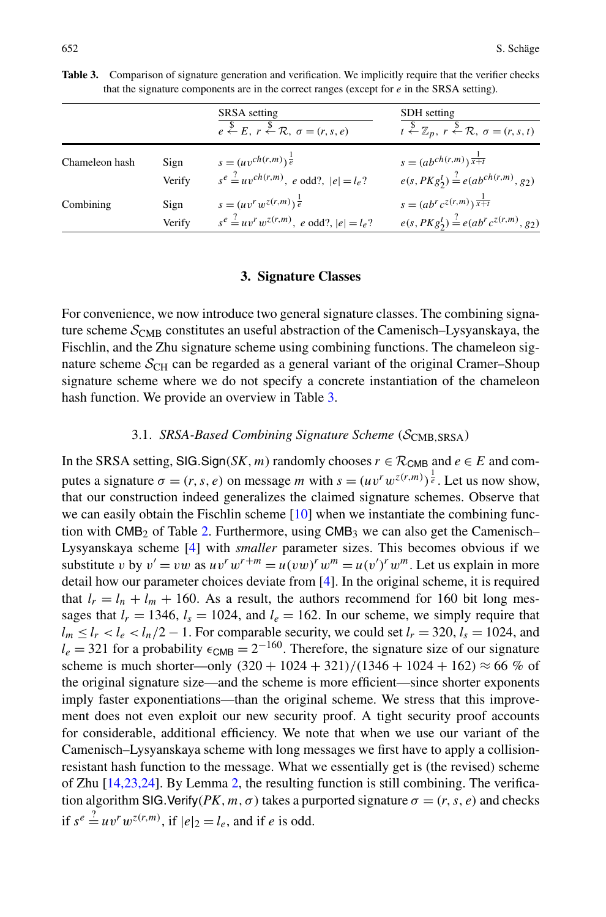<span id="page-11-0"></span>

|                |        | SRSA setting<br>$e \stackrel{\$}{\leftarrow} E, r \stackrel{\$}{\leftarrow} \mathcal{R}, \sigma = (r, s, e)$ | <b>SDH</b> setting<br>$t \stackrel{\$}{\leftarrow} \mathbb{Z}_p, r \stackrel{\$}{\leftarrow} \mathcal{R}, \sigma = (r, s, t)$ |
|----------------|--------|--------------------------------------------------------------------------------------------------------------|-------------------------------------------------------------------------------------------------------------------------------|
| Chameleon hash | Sign   | $s = (uv^{ch(r,m)})^{\frac{1}{e}}$                                                                           | $s = (ab^{ch(r,m)})^{\frac{1}{x+t}}$                                                                                          |
|                | Verify | $s^e \stackrel{?}{=} uv^{ch(r,m)}$ , e odd?, $ e  = l_e$ ?                                                   | $e(s, PKg_2^t) \stackrel{?}{=} e(ab^{ch(r,m)}, g_2)$                                                                          |
| Combining      | Sign   | $s = (uvr wz(r,m))\frac{1}{e}$                                                                               | $s = (ab^r c^{z(r,m)})^{\frac{1}{x+t}}$                                                                                       |
|                | Verify | $s^e \stackrel{?}{=} uv^r w^{z(r,m)}$ , e odd?, $ e  = l_e$ ?                                                | $e(s, PKg_2^t) \stackrel{?}{=} e(ab^r c^{z(r,m)}, g_2)$                                                                       |

<span id="page-11-1"></span>**Table 3.** Comparison of signature generation and verification. We implicitly require that the verifier checks that the signature components are in the correct ranges (except for *e* in the SRSA setting).

#### **3. Signature Classes**

<span id="page-11-2"></span>For convenience, we now introduce two general signature classes. The combining signature scheme  $S_{\text{CMB}}$  constitutes an useful abstraction of the Camenisch–Lysyanskaya, the Fischlin, and the Zhu signature scheme using combining functions. The chameleon signature scheme  $S_{CH}$  can be regarded as a general variant of the original Cramer–Shoup signature scheme where we do not specify a concrete instantiation of the chameleon hash function. We provide an overview in Table [3.](#page-11-1)

# 3.1. *SRSA-Based Combining Signature Scheme (*SCMB*,*SRSA*)*

In the SRSA setting, SIG.Sign(*SK, m*) randomly chooses  $r \in \mathcal{R}_{CMB}$  and  $e \in E$  and computes a signature  $\sigma = (r, s, e)$  on message *m* with  $s = (uv^r w^{z(r,m)})^{\frac{1}{e}}$ . Let us now show, that our construction indeed generalizes the claimed signature schemes. Observe that we can easily obtain the Fischlin scheme [\[10](#page-28-5)] when we instantiate the combining function with  $CMB<sub>2</sub>$  $CMB<sub>2</sub>$  $CMB<sub>2</sub>$  of Table 2. Furthermore, using  $CMB<sub>3</sub>$  we can also get the Camenisch– Lysyanskaya scheme [\[4](#page-28-4)] with *smaller* parameter sizes. This becomes obvious if we substitute *v* by  $v' = vw$  as  $uv^r w^{r+m} = u(vw)^r w^m = u(v')^r w^m$ . Let us explain in more detail how our parameter choices deviate from [[4\]](#page-28-4). In the original scheme, it is required that  $l_r = l_n + l_m + 160$ . As a result, the authors recommend for 160 bit long messages that  $l_r = 1346$ ,  $l_s = 1024$ , and  $l_e = 162$ . In our scheme, we simply require that  $l_m \le l_r < l_e < l_n/2 - 1$ . For comparable security, we could set  $l_r = 320$ ,  $l_s = 1024$ , and  $l_e = 321$  for a probability  $\epsilon_{CMB} = 2^{-160}$ . Therefore, the signature size of our signature scheme is much shorter—only  $(320 + 1024 + 321)/(1346 + 1024 + 162) \approx 66\%$  of the original signature size—and the scheme is more efficient—since shorter exponents imply faster exponentiations—than the original scheme. We stress that this improvement does not even exploit our new security proof. A tight security proof accounts for considerable, additional efficiency. We note that when we use our variant of the Camenisch–Lysyanskaya scheme with long messages we first have to apply a collisionresistant hash function to the message. What we essentially get is (the revised) scheme of Zhu [[14,](#page-29-5)[23](#page-29-3),[24](#page-29-1)]. By Lemma [2](#page-8-1), the resulting function is still combining. The verification algorithm SIG. Verify  $(PK, m, \sigma)$  takes a purported signature  $\sigma = (r, s, e)$  and checks if  $s^e \stackrel{?}{=} uv^r w^{z(r,m)}$ , if  $|e|_2 = l_e$ , and if *e* is odd.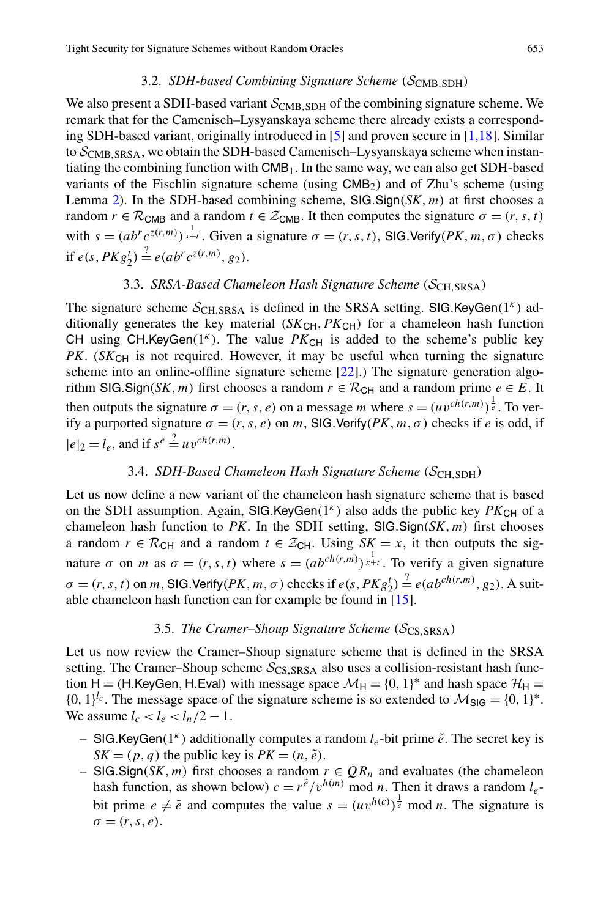## 3.2. *SDH-based Combining Signature Scheme (*SCMB*,*SDH*)*

We also present a SDH-based variant  $S_{CMB, SDH}$  of the combining signature scheme. We remark that for the Camenisch–Lysyanskaya scheme there already exists a corresponding SDH-based variant, originally introduced in [\[5](#page-28-11)] and proven secure in [[1,](#page-28-10)[18](#page-29-6)]. Similar to SCMB*,*SRSA, we obtain the SDH-based Camenisch–Lysyanskaya scheme when instantiating the combining function with  $\text{CMB}_1$ . In the same way, we can also get SDH-based variants of the Fischlin signature scheme (using CMB2) and of Zhu's scheme (using Lemma [2\)](#page-8-1). In the SDH-based combining scheme, SIG*.*Sign*(SK,m)* at first chooses a random  $r \in \mathcal{R}_{\text{CMB}}$  and a random  $t \in \mathcal{Z}_{\text{CMB}}$ . It then computes the signature  $\sigma = (r, s, t)$ with  $s = (ab^r c^{z(r,m)})^{\frac{1}{x+t}}$ . Given a signature  $\sigma = (r, s, t)$ , SIG. Verify  $(PK, m, \sigma)$  checks if  $e(s, PKg_2^t) \stackrel{?}{=} e(ab^r c^{z(r,m)}, g_2)$ .

# 3.3. *SRSA-Based Chameleon Hash Signature Scheme (*SCH*,*SRSA*)*

The signature scheme  $S_{\text{CH,SRSA}}$  is defined in the SRSA setting. SIG.KeyGen(1<sup>*κ*</sup>) additionally generates the key material  $(SK_{CH}, PK_{CH})$  for a chameleon hash function CH using CH.KeyGen $(1^k)$ . The value  $PK_{CH}$  is added to the scheme's public key *PK*. (*SK*<sub>CH</sub> is not required. However, it may be useful when turning the signature scheme into an online-offline signature scheme [\[22](#page-29-9)].) The signature generation algorithm SIG.Sign(*SK*, *m*) first chooses a random  $r \in \mathcal{R}_{CH}$  and a random prime  $e \in E$ . It then outputs the signature  $\sigma = (r, s, e)$  on a message *m* where  $s = (uv^{ch(r,m)})^{\frac{1}{e}}$ . To verify a purported signature  $\sigma = (r, s, e)$  on *m*, SIG. Verify  $(PK, m, \sigma)$  checks if *e* is odd, if  $|e|_2 = l_e$ , and if  $s^e \stackrel{?}{=} uv^{ch(r,m)}$ .

# 3.4. *SDH-Based Chameleon Hash Signature Scheme (*SCH*,*SDH*)*

Let us now define a new variant of the chameleon hash signature scheme that is based on the SDH assumption. Again, SIG.KeyGen $(1^k)$  also adds the public key  $PK_{\text{CH}}$  of a chameleon hash function to *PK*. In the SDH setting, SIG*.*Sign*(SK,m)* first chooses a random  $r \in \mathcal{R}_{CH}$  and a random  $t \in \mathcal{Z}_{CH}$ . Using  $SK = x$ , it then outputs the signature  $\sigma$  on *m* as  $\sigma = (r, s, t)$  where  $s = (ab^{ch(r,m)})^{\frac{1}{x+t}}$ . To verify a given signature  $\sigma = (r, s, t)$  on *m*, SIG. Verify  $(PK, m, \sigma)$  checks if  $e(s, PKg_2^t) \stackrel{?}{=} e(ab^{ch(r,m)}, g_2)$ . A suitable chameleon hash function can for example be found in [[15\]](#page-29-8).

## 3.5. *The Cramer–Shoup Signature Scheme (*SCS*,*SRSA*)*

Let us now review the Cramer–Shoup signature scheme that is defined in the SRSA setting. The Cramer–Shoup scheme  $S_{\text{CS,SRSA}}$  also uses a collision-resistant hash function H = *(H.KeyGen, H.Eval)* with message space  $\mathcal{M}_H = \{0, 1\}^*$  and hash space  $\mathcal{H}_H$  =  ${0, 1}^{l_c}$ . The message space of the signature scheme is so extended to  $M_{\text{SIG}} = {0, 1}^*$ . We assume  $l_c < l_e < l_n/2 - 1$ .

- SIG*.*KeyGen*(*1*<sup>κ</sup> )* additionally computes a random *le*-bit prime *e*˜. The secret key is  $SK = (p, q)$  the public key is  $PK = (n, \tilde{e})$ .
- SIG*.*Sign*(SK,m)* first chooses a random *r* ∈ *QRn* and evaluates (the chameleon hash function, as shown below)  $c = r^{\tilde{e}}/v^{h(m)}$  mod *n*. Then it draws a random  $l_e$ bit prime  $e \neq \tilde{e}$  and computes the value  $s = (uv^{h(c)})^{\frac{1}{e}}$  mod *n*. The signature is  $\sigma = (r, s, e)$ .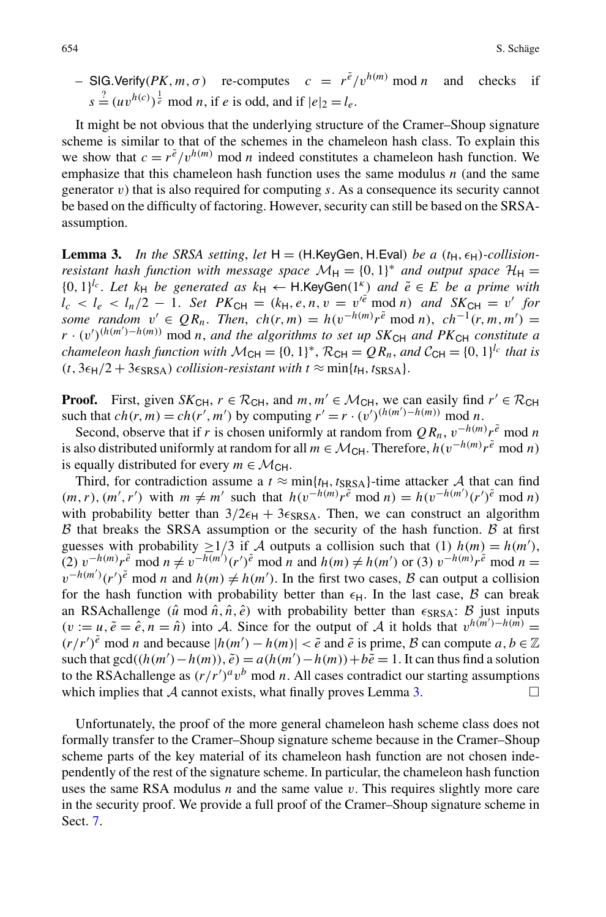$\sim$  SIG. Verify (*PK, m, σ*) re-computes  $c = r^{\tilde{e}}/v^{h(m)}$  mod *n* and checks if  $s \stackrel{?}{=} (uv^{h(c)})^{\frac{1}{e}}$  mod *n*, if *e* is odd, and if  $|e|_2 = l_e$ .

<span id="page-13-0"></span>It might be not obvious that the underlying structure of the Cramer–Shoup signature scheme is similar to that of the schemes in the chameleon hash class. To explain this we show that  $c = r^{\tilde{e}}/v^{h(m)}$  mod *n* indeed constitutes a chameleon hash function. We emphasize that this chameleon hash function uses the same modulus *n* (and the same generator *v*) that is also required for computing *s*. As a consequence its security cannot be based on the difficulty of factoring. However, security can still be based on the SRSAassumption.

**Lemma 3.** In the SRSA setting, let  $H = (H.KeyGen, H.Eval)$  *be a*  $(t_H, \epsilon_H)$ *-collisionresistant hash function with message space*  $\mathcal{M}_{\rm H} = \{0, 1\}^*$  *and output space*  $\mathcal{H}_{\rm H} =$  ${0, 1}^{l_c}$ . *Let*  $k_H$  *be generated as*  $k_H \leftarrow H$ *.KeyGen* $(1^k)$  *and*  $\tilde{e} \in E$  *be a prime with*  $l_c < l_e < l_n/2 - 1$ . *Set PK*<sub>CH</sub> =  $(k_H, e, n, v = v'^{\tilde{e}} \mod n)$  *and SK*<sub>CH</sub> = *v' for some random*  $v' \in QR_n$ . *Then,*  $ch(r, m) = h(v^{-h(m)})e^{\tilde{e}} \mod n$ ,  $ch^{-1}(r, m, m') =$  $r \cdot (v')^{(h(m') - h(m))}$  mod *n*, *and the algorithms to set up SK*<sub>CH</sub> *and PK*<sub>CH</sub> *constitute a chameleon hash function with*  $M_{CH} = \{0, 1\}^k$ ,  $\mathcal{R}_{CH} = QR_n$ , and  $\mathcal{C}_{CH} = \{0, 1\}^{l_c}$  *that is*  $(t, 3\epsilon_H/2 + 3\epsilon_{SRSA})$  *collision-resistant with*  $t \approx min\{t_H, t_{SRSA}\}.$ 

**Proof.** First, given  $SK_{CH}$ ,  $r \in \mathcal{R}_{CH}$ , and  $m, m' \in \mathcal{M}_{CH}$ , we can easily find  $r' \in \mathcal{R}_{CH}$ such that  $ch(r, m) = ch(r', m')$  by computing  $r' = r \cdot (v')^{(h(m') - h(m))} \mod n$ .

Second, observe that if *r* is chosen uniformly at random from  $QR_n$ ,  $v^{-h(m)}r^{\tilde{e}}$  mod *n* is also distributed uniformly at random for all  $m \in \mathcal{M}_{\text{CH}}$ . Therefore,  $h(v^{-h(m)}r^{\tilde{e}} \mod n)$ is equally distributed for every  $m \in \mathcal{M}_{\text{CH}}$ .

Third, for contradiction assume a  $t \approx \min\{t_H, t_{SRSA}\}\)$ -time attacker A that can find  $(m, r), (m', r')$  with  $m \neq m'$  such that  $h(v^{-h(m)})r^{\tilde{e}} \mod n = h(v^{-h(m')}(r')^{\tilde{e}} \mod n)$ with probability better than  $3/2\epsilon_H + 3\epsilon_{\text{SRSA}}$ . Then, we can construct an algorithm  $\beta$  that breaks the SRSA assumption or the security of the hash function.  $\beta$  at first guesses with probability  $\geq 1/3$  if A outputs a collision such that (1)  $h(m) = h(m')$ , (2)  $v^{-h(m)}r^{\tilde{e}}$  mod  $n \neq v^{-h(m')}(r')^{\tilde{e}}$  mod  $n$  and  $h(m) \neq h(m')$  or (3)  $v^{-h(m)}r^{\tilde{e}}$  mod  $n =$  $v^{-h(m')}(r')^{\tilde{e}}$  mod *n* and  $h(m) \neq h(m')$ . In the first two cases, B can output a collision for the hash function with probability better than  $\epsilon_H$ . In the last case, B can break an RSAchallenge  $(\hat{u} \mod \hat{n}, \hat{n}, \hat{e})$  with probability better than  $\epsilon_{SRSA}$ :  $\beta$  just inputs  $(v := u, \tilde{e} = \hat{e}, n = \hat{n})$  into A. Since for the output of A it holds that  $v^{h(m') - h(m)} =$ *(r/r'*)<sup> $\tilde{e}$  mod *n* and because  $|h(m') - h(m)| < \tilde{e}$  and  $\tilde{e}$  is prime, *B* can compute *a*, *b* ∈  $\mathbb{Z}$ </sup> such that  $gcd((h(m') - h(m)), \tilde{e}) = a(h(m') - h(m)) + b\tilde{e} = 1$ . It can thus find a solution to the RSAchallenge as  $(r/r')^a v^b \mod n$ . All cases contradict our starting assumptions which implies that  $\mathcal A$  cannot exists, what finally proves Lemma [3.](#page-13-0)  $\Box$ 

Unfortunately, the proof of the more general chameleon hash scheme class does not formally transfer to the Cramer–Shoup signature scheme because in the Cramer–Shoup scheme parts of the key material of its chameleon hash function are not chosen independently of the rest of the signature scheme. In particular, the chameleon hash function uses the same RSA modulus *n* and the same value *v*. This requires slightly more care in the security proof. We provide a full proof of the Cramer–Shoup signature scheme in Sect. [7.](#page-26-0)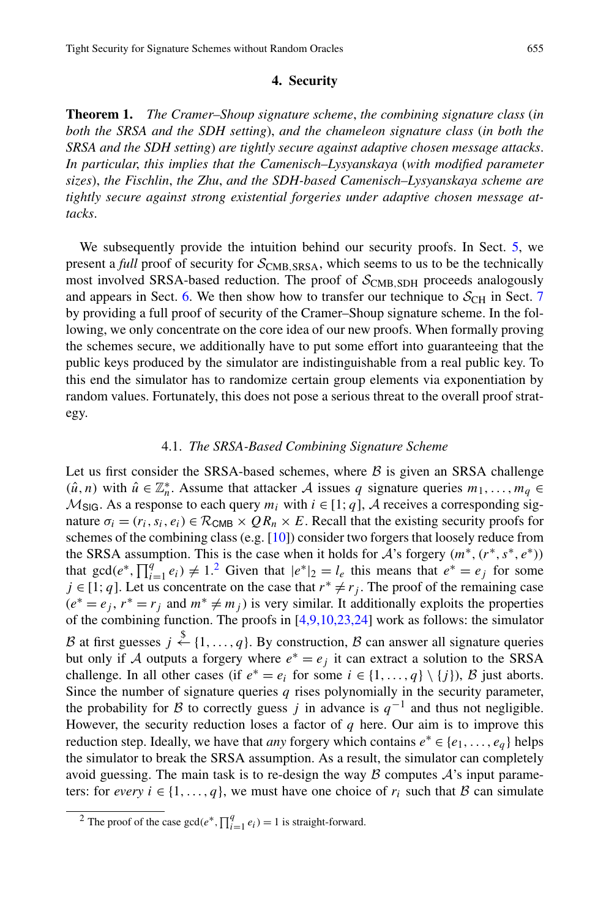# **4. Security**

<span id="page-14-2"></span><span id="page-14-1"></span>**Theorem 1.** *The Cramer–Shoup signature scheme*, *the combining signature class* (*in both the SRSA and the SDH setting*), *and the chameleon signature class* (*in both the SRSA and the SDH setting*) *are tightly secure against adaptive chosen message attacks*. *In particular*, *this implies that the Camenisch–Lysyanskaya* (*with modified parameter sizes*), *the Fischlin*, *the Zhu*, *and the SDH-based Camenisch–Lysyanskaya scheme are tightly secure against strong existential forgeries under adaptive chosen message attacks*.

<span id="page-14-3"></span>We subsequently provide the intuition behind our security proofs. In Sect. [5](#page-18-0), we present a *full* proof of security for  $S_{\text{CMB, SRSA}}$ , which seems to us to be the technically most involved SRSA-based reduction. The proof of  $S_{\text{CMB},\text{SDH}}$  proceeds analogously and appears in Sect. [6](#page-22-0). We then show how to transfer our technique to  $S_{\text{CH}}$  in Sect. [7](#page-26-0) by providing a full proof of security of the Cramer–Shoup signature scheme. In the following, we only concentrate on the core idea of our new proofs. When formally proving the schemes secure, we additionally have to put some effort into guaranteeing that the public keys produced by the simulator are indistinguishable from a real public key. To this end the simulator has to randomize certain group elements via exponentiation by random values. Fortunately, this does not pose a serious threat to the overall proof strategy.

#### 4.1. *The SRSA-Based Combining Signature Scheme*

Let us first consider the SRSA-based schemes, where  $\beta$  is given an SRSA challenge  $(\hat{u}, n)$  with  $\hat{u} \in \mathbb{Z}_n^*$ . Assume that attacker A issues q signature queries  $m_1, \ldots, m_q \in$  $M_{\text{SIG}}$ . As a response to each query  $m_i$  with  $i \in [1; q]$ , A receives a corresponding signature  $\sigma_i = (r_i, s_i, e_i) \in \mathcal{R}_{\text{CMB}} \times QR_n \times E$ . Recall that the existing security proofs for schemes of the combining class (e.g. [\[10](#page-28-5)]) consider two forgers that loosely reduce from the SRSA assumption. This is the case when it holds for A's forgery *(m*∗*,(r*∗*,s*∗*,e*∗*))* that  $gcd(e^*, \prod_{i=1}^q e_i) \neq 1$ . Given that  $|e^*|_2 = l_e$  this means that  $e^* = e_j$  for some *j* ∈ [1; *q*]. Let us concentrate on the case that  $r^* \neq r_j$ . The proof of the remaining case  $(e<sup>*</sup> = e<sub>j</sub>, r<sup>*</sup> = r<sub>j</sub>$  and  $m<sup>*</sup> \neq m<sub>j</sub>$ ) is very similar. It additionally exploits the properties of the combining function. The proofs in  $[4,9,10,23,24]$  $[4,9,10,23,24]$  $[4,9,10,23,24]$  $[4,9,10,23,24]$  $[4,9,10,23,24]$  $[4,9,10,23,24]$  $[4,9,10,23,24]$  $[4,9,10,23,24]$  work as follows: the simulator B at first guesses  $j \stackrel{\$}{\leftarrow} \{1, ..., q\}$ . By construction, B can answer all signature queries but only if A outputs a forgery where  $e^* = e_j$  it can extract a solution to the SRSA challenge. In all other cases (if  $e^* = e_i$  for some  $i \in \{1, ..., q\} \setminus \{j\}$ ), B just aborts. Since the number of signature queries *q* rises polynomially in the security parameter, the probability for B to correctly guess *j* in advance is  $q^{-1}$  and thus not negligible. However, the security reduction loses a factor of  $q$  here. Our aim is to improve this reduction step. Ideally, we have that *any* forgery which contains  $e^* \in \{e_1, \ldots, e_q\}$  helps the simulator to break the SRSA assumption. As a result, the simulator can completely avoid guessing. The main task is to re-design the way  $\beta$  computes  $\mathcal{A}$ 's input parameters: for *every*  $i \in \{1, ..., q\}$ , we must have one choice of  $r_i$  such that B can simulate

<span id="page-14-0"></span><sup>&</sup>lt;sup>2</sup> The proof of the case  $gcd(e^*, \prod_{i=1}^q e_i) = 1$  is straight-forward.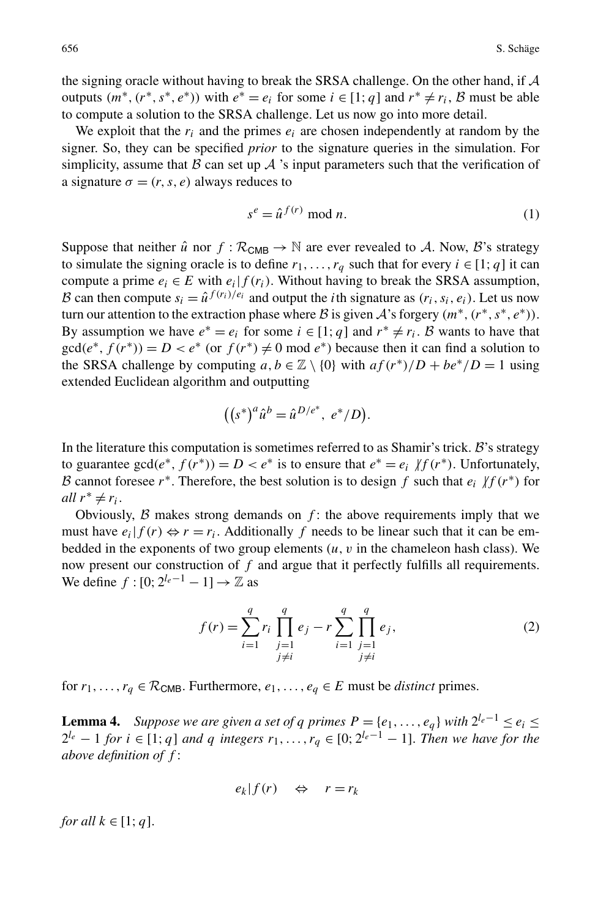<span id="page-15-0"></span>the signing oracle without having to break the SRSA challenge. On the other hand, if A outputs  $(m^*, (r^*, s^*, e^*))$  with  $e^* = e_i$  for some  $i \in [1; q]$  and  $r^* \neq r_i$ , B must be able to compute a solution to the SRSA challenge. Let us now go into more detail.

We exploit that the  $r_i$  and the primes  $e_i$  are chosen independently at random by the signer. So, they can be specified *prior* to the signature queries in the simulation. For simplicity, assume that B can set up A 's input parameters such that the verification of a signature  $\sigma = (r, s, e)$  always reduces to

$$
s^e = \hat{u}^{f(r)} \bmod n. \tag{1}
$$

Suppose that neither  $\hat{u}$  nor  $f : \mathcal{R}_{\text{CMB}} \to \mathbb{N}$  are ever revealed to A. Now, B's strategy to simulate the signing oracle is to define  $r_1, \ldots, r_a$  such that for every  $i \in [1; q]$  it can compute a prime  $e_i \in E$  with  $e_i | f(r_i)$ . Without having to break the SRSA assumption, B can then compute  $s_i = \hat{u}^{f(r_i)/e_i}$  and output the *i*th signature as  $(r_i, s_i, e_i)$ . Let us now turn our attention to the extraction phase where B is given A's forgery  $(m^*, (r^*, s^*, e^*))$ . By assumption we have  $e^* = e_i$  for some  $i \in [1; q]$  and  $r^* \neq r_i$ . B wants to have that  $gcd(e^*, f(r^*)) = D < e^*$  (or  $f(r^*) \neq 0$  mod  $e^*$ ) because then it can find a solution to the SRSA challenge by computing  $a, b \in \mathbb{Z} \setminus \{0\}$  with  $af(r^*)/D + be^*/D = 1$  using extended Euclidean algorithm and outputting

$$
((s^*)^a \hat{u}^b = \hat{u}^{D/e^*}, e^*/D).
$$

In the literature this computation is sometimes referred to as Shamir's trick.  $B$ 's strategy to guarantee gcd( $e^*$ ,  $f(r^*)$ ) =  $D < e^*$  is to ensure that  $e^* = e_i / f(r^*)$ . Unfortunately, B cannot foresee  $r^*$ . Therefore, the best solution is to design  $f$  such that  $e_i$   $/f(r^*)$  for *all*  $r^* \neq r_i$ .

<span id="page-15-2"></span><span id="page-15-1"></span>Obviously,  $\beta$  makes strong demands on  $f$ : the above requirements imply that we must have  $e_i|f(r) \Leftrightarrow r = r_i$ . Additionally f needs to be linear such that it can be embedded in the exponents of two group elements  $(u, v)$  in the chameleon hash class). We now present our construction of *f* and argue that it perfectly fulfills all requirements. We define  $f : [0; 2^{l_e-1} - 1] \rightarrow \mathbb{Z}$  as

$$
f(r) = \sum_{i=1}^{q} r_i \prod_{\substack{j=1 \ j \neq i}}^{q} e_j - r \sum_{i=1}^{q} \prod_{\substack{j=1 \ j \neq i}}^{q} e_j,
$$
 (2)

for  $r_1, \ldots, r_q \in \mathcal{R}_{\text{CMB}}$ . Furthermore,  $e_1, \ldots, e_q \in E$  must be *distinct* primes.

**Lemma 4.** *Suppose we are given a set of q primes*  $P = \{e_1, \ldots, e_q\}$  *with*  $2^{l_e - 1} \le e_i \le$  $2^{l_e} - 1$  *for*  $i \in [1; q]$  *and*  $q$  *integers*  $r_1, \ldots, r_q \in [0; 2^{l_e-1} - 1]$ . *Then we have for the above definition of f* :

$$
e_k|f(r) \quad \Leftrightarrow \quad r = r_k
$$

*for all*  $k \in [1; q]$ .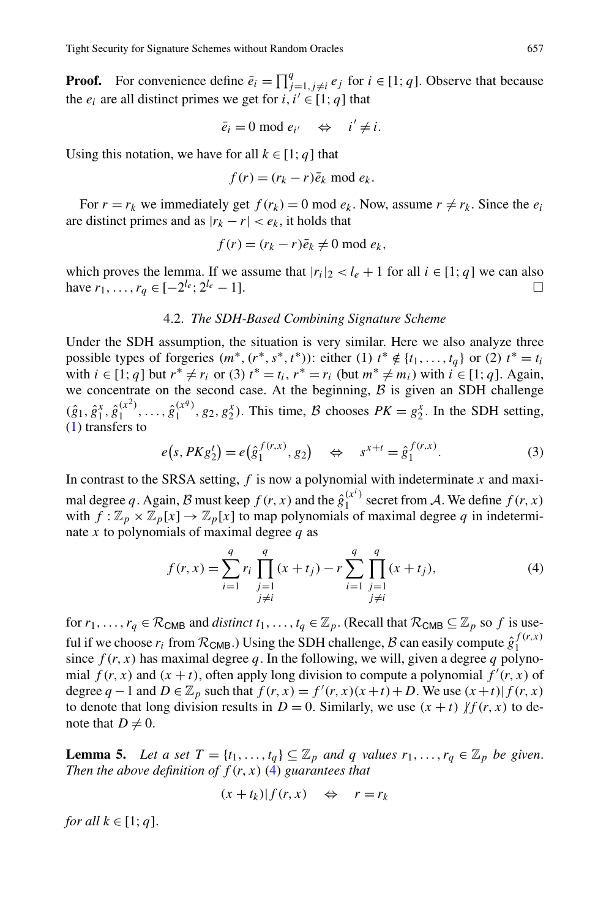**Proof.** For convenience define  $\bar{e}_i = \prod_{j=1, j \neq i}^q e_j$  for  $i \in [1; q]$ . Observe that because the  $e_i$  are all distinct primes we get for  $i, i' \in [1; q]$  that

$$
\bar{e}_i = 0 \bmod e_{i'} \quad \Leftrightarrow \quad i' \neq i.
$$

Using this notation, we have for all  $k \in [1; q]$  that

$$
f(r) = (r_k - r)\bar{e}_k \bmod e_k.
$$

For  $r = r_k$  we immediately get  $f(r_k) = 0$  mod  $e_k$ . Now, assume  $r \neq r_k$ . Since the  $e_i$ are distinct primes and as  $|r_k - r| < e_k$ , it holds that

$$
f(r) = (r_k - r)\bar{e}_k \neq 0 \text{ mod } e_k,
$$

which proves the lemma. If we assume that  $|r_i|_2 < l_e + 1$  for all  $i \in [1; q]$  we can also have  $r_1, \ldots, r_a \in [-2^{l_e}; 2^{l_e} - 1].$ 

# 4.2. *The SDH-Based Combining Signature Scheme*

Under the SDH assumption, the situation is very similar. Here we also analyze three possible types of forgeries  $(m^*, (r^*, s^*, t^*))$ : either (1)  $t^* \notin \{t_1, \ldots, t_q\}$  or (2)  $t^* = t_i$ with  $i \in [1; q]$  but  $r^* \neq r_i$  or (3)  $t^* = t_i$ ,  $r^* = r_i$  (but  $m^* \neq m_i$ ) with  $i \in [1; q]$ . Again, we concentrate on the second case. At the beginning,  $\beta$  is given an SDH challenge  $(\hat{g}_1, \hat{g}_1^x, \hat{g}_1^{(x^2)}, \dots, \hat{g}_1^{(x^q)}, g_2, g_2^x)$ . This time, B chooses  $PK = g_2^x$ . In the SDH setting, [\(1](#page-15-0)) transfers to

$$
e(s, PKg_2^t) = e(\hat{g}_1^{f(r,x)}, g_2) \iff s^{x+t} = \hat{g}_1^{f(r,x)}.
$$
 (3)

<span id="page-16-0"></span>In contrast to the SRSA setting, *f* is now a polynomial with indeterminate *x* and maximal degree q. Again, B must keep  $f(r, x)$  and the  $\hat{g}_1^{(x^i)}$  secret from A. We define  $f(r, x)$ with  $f: \mathbb{Z}_p \times \mathbb{Z}_p[x] \to \mathbb{Z}_p[x]$  to map polynomials of maximal degree q in indeterminate *x* to polynomials of maximal degree *q* as

$$
f(r,x) = \sum_{i=1}^{q} r_i \prod_{\substack{j=1 \ j \neq i}}^{q} (x+t_j) - r \sum_{i=1}^{q} \prod_{\substack{j=1 \ j \neq i}}^{q} (x+t_j),
$$
 (4)

<span id="page-16-1"></span>for  $r_1, \ldots, r_q \in \mathcal{R}_{\text{CMB}}$  and *distinct*  $t_1, \ldots, t_q \in \mathbb{Z}_p$ . (Recall that  $\mathcal{R}_{\text{CMB}} \subseteq \mathbb{Z}_p$  so f is useful if we choose  $r_i$  from  $\mathcal{R}_{\textsf{CMB}}$ .) Using the SDH challenge,  $\mathcal B$  can easily compute  $\hat g_1^{f(r,x)}$ 1 since  $f(r, x)$  has maximal degree q. In the following, we will, given a degree q polynomial  $f(r, x)$  and  $(x + t)$ , often apply long division to compute a polynomial  $f'(r, x)$  of degree  $q - 1$  and  $D \in \mathbb{Z}_p$  such that  $f(r, x) = f'(r, x)(x + t) + D$ . We use  $(x + t) | f(r, x)$ to denote that long division results in  $D = 0$ . Similarly, we use  $(x + t)$   $\|f(r, x)$  to denote that  $D \neq 0$ .

**Lemma 5.** Let a set  $T = \{t_1, \ldots, t_q\} \subseteq \mathbb{Z}_p$  and q values  $r_1, \ldots, r_q \in \mathbb{Z}_p$  be given. *Then the above definition of f (r,x)* ([4\)](#page-16-0) *guarantees that*

$$
(x+t_k)|f(r,x) \quad \Leftrightarrow \quad r=r_k
$$

*for all*  $k \in [1; q]$ .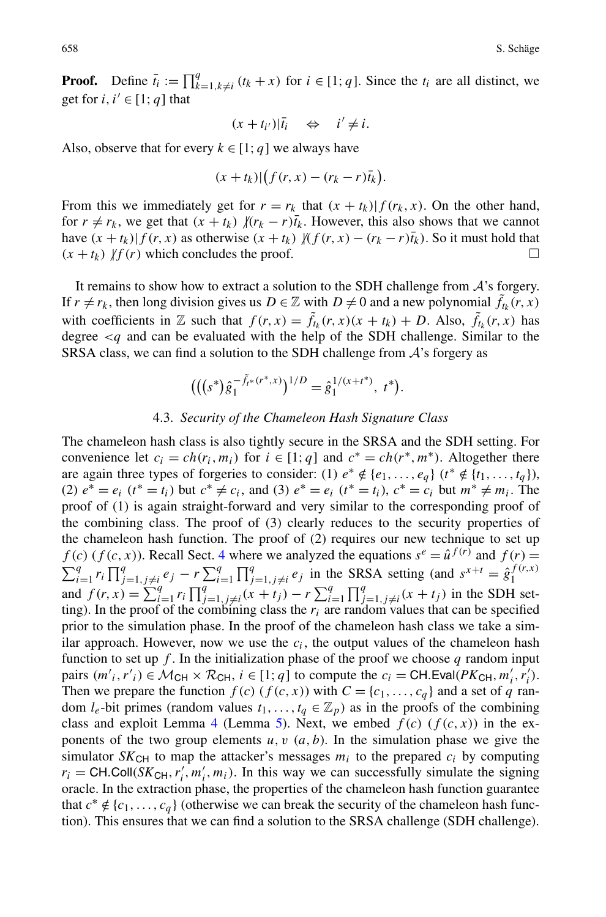**Proof.** Define  $\bar{t}_i := \prod_{k=1, k \neq i}^q (t_k + x)$  for  $i \in [1; q]$ . Since the  $t_i$  are all distinct, we get for  $i, i' \in [1; a]$  that

$$
(x+t_{i'})|\bar{t}_i \quad \Leftrightarrow \quad i'\neq i.
$$

Also, observe that for every  $k \in [1; q]$  we always have

$$
(x+t_k)|\big(f(r,x)-(r_k-r)\overline{t}_k\big).
$$

From this we immediately get for  $r = r_k$  that  $(x + t_k) | f(r_k, x)$ . On the other hand, for  $r \neq r_k$ , we get that  $(x + t_k)$   $/(r_k - r)\overline{t}_k$ . However, this also shows that we cannot have  $(x + t_k)|f(r, x)$  as otherwise  $(x + t_k)$   $\mathcal{Y}(f(r, x) - (r_k - r)\overline{t}_k)$ . So it must hold that  $(x + t_k)$   $\vert f(r)$  which concludes the proof.  $\Box$ 

It remains to show how to extract a solution to the SDH challenge from  $A$ 's forgery. If  $r \neq r_k$ , then long division gives us  $D \in \mathbb{Z}$  with  $D \neq 0$  and a new polynomial  $\tilde{f}_{t_k}(r, x)$ with coefficients in  $\mathbb{Z}$  such that  $f(r, x) = \tilde{f}_{t_k}(r, x)(x + t_k) + D$ . Also,  $\tilde{f}_{t_k}(r, x)$  has degree  $\leq q$  and can be evaluated with the help of the SDH challenge. Similar to the SRSA class, we can find a solution to the SDH challenge from  $A$ 's forgery as

$$
(((s^*)\hat{g}_1^{-\tilde{f}_{t^*}(r^*,x)})^{1/D} = \hat{g}_1^{1/(x+t^*)}, t^*).
$$

# 4.3. *Security of the Chameleon Hash Signature Class*

The chameleon hash class is also tightly secure in the SRSA and the SDH setting. For convenience let  $c_i = ch(r_i, m_i)$  for  $i \in [1; q]$  and  $c^* = ch(r^*, m^*)$ . Altogether there are again three types of forgeries to consider: (1)  $e^* \notin \{e_1, \ldots, e_a\}$  ( $t^* \notin \{t_1, \ldots, t_a\}$ ), (2)  $e^* = e_i$  ( $t^* = t_i$ ) but  $c^* ≠ c_i$ , and (3)  $e^* = e_i$  ( $t^* = t_i$ ),  $c^* = c_i$  but  $m^* ≠ m_i$ . The proof of (1) is again straight-forward and very similar to the corresponding proof of the combining class. The proof of (3) clearly reduces to the security properties of the chameleon hash function. The proof of (2) requires our new technique to set up *f*(*c*) (*f*(*c*, *x*)). Recall Sect. [4](#page-14-1) where we analyzed the equations  $s^e = \hat{u}^{f(r)}$  and  $f(r) =$  $\sum_{i=1}^q r_i \prod_{j=1, j \neq i}^q e_j - r \sum_{i=1}^q \prod_{j=1, j \neq i}^q e_j$  in the SRSA setting (and  $s^{x+t} = \hat{g}_1^{f(r,x)}$ and  $f(r, x) = \sum_{i=1}^{q} r_i \prod_{j=1, j \neq i}^{q} (x + t_j) - r \sum_{i=1}^{q} \prod_{j=1, j \neq i}^{q} (x + t_j)$  in the SDH setting). In the proof of the combining class the  $r_i$  are random values that can be specified prior to the simulation phase. In the proof of the chameleon hash class we take a similar approach. However, now we use the  $c_i$ , the output values of the chameleon hash function to set up  $f$ . In the initialization phase of the proof we choose  $q$  random input pairs  $(m'_i, r'_i) \in M_{CH} \times \mathcal{R}_{CH}$ ,  $i \in [1; q]$  to compute the  $c_i = \text{CH.Eval}(PK_{CH}, m'_i, r'_i)$ . Then we prepare the function  $f(c)$  ( $f(c, x)$ ) with  $C = \{c_1, \ldots, c_q\}$  and a set of  $q$  random  $l_e$ -bit primes (random values  $t_1, \ldots, t_q \in \mathbb{Z}_p$ ) as in the proofs of the combining class and exploit Lemma [4](#page-15-1) (Lemma [5\)](#page-16-1). Next, we embed  $f(c)$  ( $f(c, x)$ ) in the exponents of the two group elements  $u, v$   $(a, b)$ . In the simulation phase we give the simulator  $SK_{CH}$  to map the attacker's messages  $m_i$  to the prepared  $c_i$  by computing  $r_i = \text{CH}. \text{Coll}(SK_{\text{CH}}, r'_i, m'_i, m_i)$ . In this way we can successfully simulate the signing oracle. In the extraction phase, the properties of the chameleon hash function guarantee that  $c^* \notin \{c_1, \ldots, c_q\}$  (otherwise we can break the security of the chameleon hash function). This ensures that we can find a solution to the SRSA challenge (SDH challenge).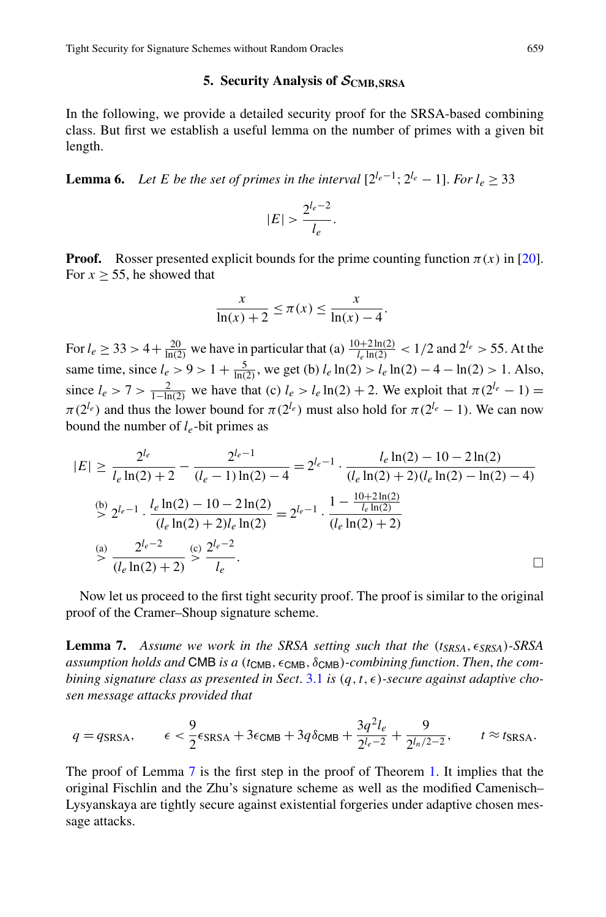# **5. Security Analysis of** *S***CMB***,***SRSA**

<span id="page-18-2"></span><span id="page-18-0"></span>In the following, we provide a detailed security proof for the SRSA-based combining class. But first we establish a useful lemma on the number of primes with a given bit length.

**Lemma 6.** *Let E be the set of primes in the interval*  $[2^{l_e-1}; 2^{l_e} - 1]$ . *For*  $l_e > 33$ 

$$
|E| > \frac{2^{l_e - 2}}{l_e}.
$$

**Proof.** Rosser presented explicit bounds for the prime counting function  $\pi(x)$  in [[20\]](#page-29-10). For  $x > 55$ , he showed that

$$
\frac{x}{\ln(x) + 2} \le \pi(x) \le \frac{x}{\ln(x) - 4}.
$$

For  $l_e \ge 33 > 4 + \frac{20}{\ln(2)}$  we have in particular that (a)  $\frac{10+2\ln(2)}{l_e \ln(2)} < 1/2$  and  $2^{l_e} > 55$ . At the same time, since  $l_e > 9 > 1 + \frac{5}{\ln(2)}$ , we get (b)  $l_e \ln(2) > l_e \ln(2) - 4 - \ln(2) > 1$ . Also, since *l<sub>e</sub>* > 7 >  $\frac{2}{1-\ln(2)}$  we have that (c) *l<sub>e</sub>* > *l<sub>e</sub>* ln(2) + 2. We exploit that *π*(2<sup>*le*</sup> − 1) =  $\pi(2^{l_e})$  and thus the lower bound for  $\pi(2^{l_e})$  must also hold for  $\pi(2^{l_e}-1)$ . We can now bound the number of *le*-bit primes as

<span id="page-18-1"></span>
$$
|E| \ge \frac{2^{l_e}}{l_e \ln(2) + 2} - \frac{2^{l_e - 1}}{(l_e - 1)\ln(2) - 4} = 2^{l_e - 1} \cdot \frac{l_e \ln(2) - 10 - 2\ln(2)}{(l_e \ln(2) + 2)(l_e \ln(2) - \ln(2) - 4)}
$$
  
\n
$$
\stackrel{\text{(b)}}{\ge} 2^{l_e - 1} \cdot \frac{l_e \ln(2) - 10 - 2\ln(2)}{(l_e \ln(2) + 2)l_e \ln(2)} = 2^{l_e - 1} \cdot \frac{1 - \frac{10 + 2\ln(2)}{l_e \ln(2)}}{(l_e \ln(2) + 2)}
$$
  
\n
$$
\stackrel{\text{(a)}}{\ge} \frac{2^{l_e - 2}}{(l_e \ln(2) + 2)} \stackrel{\text{(c)}}{\ge} \frac{2^{l_e - 2}}{l_e}.
$$

Now let us proceed to the first tight security proof. The proof is similar to the original proof of the Cramer–Shoup signature scheme.

**Lemma 7.** *Assume we work in the SRSA setting such that the (tSRSA,SRSA)-SRSA assumption holds and* CMB *is a* (*t*<sub>CMB</sub>, ε<sub>CMB</sub>, δ<sub>CMB</sub>)*-combining function. Then, the combining signature class as presented in Sect.* [3.1](#page-11-2) *is*  $(q, t, \epsilon)$ -secure against adaptive cho*sen message attacks provided that*

$$
q = q_{\text{SRSA}}, \qquad \epsilon < \frac{9}{2} \epsilon_{\text{SRSA}} + 3 \epsilon_{\text{CMB}} + 3q \delta_{\text{CMB}} + \frac{3q^2 l_e}{2^{l_e - 2}} + \frac{9}{2^{l_n/2 - 2}}, \qquad t \approx t_{\text{SRSA}}.
$$

The proof of Lemma [7](#page-18-1) is the first step in the proof of Theorem [1](#page-14-2). It implies that the original Fischlin and the Zhu's signature scheme as well as the modified Camenisch– Lysyanskaya are tightly secure against existential forgeries under adaptive chosen message attacks.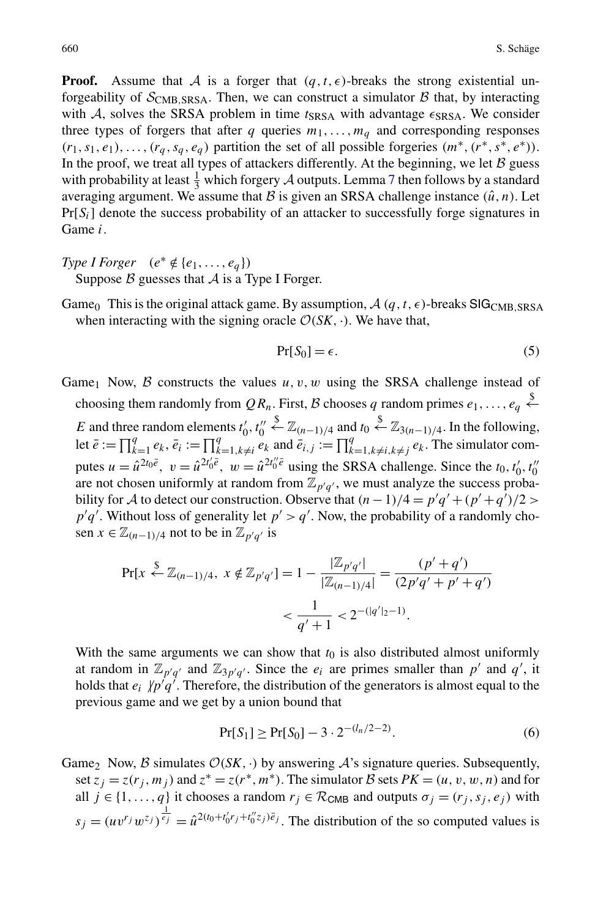**Proof.** Assume that A is a forger that  $(q, t, \epsilon)$ -breaks the strong existential unforgeability of  $S_{\text{CMB SRSA}}$ . Then, we can construct a simulator  $\beta$  that, by interacting with A, solves the SRSA problem in time  $t_{SRSA}$  with advantage  $\epsilon_{SRSA}$ . We consider three types of forgers that after *q* queries  $m_1, \ldots, m_q$  and corresponding responses  $(r_1, s_1, e_1), \ldots, (r_a, s_a, e_a)$  partition the set of all possible forgeries  $(m^*, (r^*, s^*, e^*))$ . In the proof, we treat all types of attackers differently. At the beginning, we let  $B$  guess with probability at least  $\frac{1}{3}$  which forgery A outputs. Lemma [7](#page-18-1) then follows by a standard averaging argument. We assume that  $\mathcal B$  is given an SRSA challenge instance  $(\hat u, n)$ . Let Pr[*Si*] denote the success probability of an attacker to successfully forge signatures in Game *i*.

- *Type I Forger*  $(e^* \notin \{e_1, \ldots, e_q\})$ Suppose  $\beta$  guesses that  $\mathcal A$  is a Type I Forger.
- Game<sub>0</sub> This is the original attack game. By assumption,  $\mathcal{A}(q, t, \epsilon)$ -breaks SIG<sub>CMB</sub>, SRSA when interacting with the signing oracle  $\mathcal{O}(SK, \cdot)$ . We have that,

<span id="page-19-0"></span>
$$
Pr[S_0] = \epsilon. \tag{5}
$$

Game<sub>1</sub> Now,  $\beta$  constructs the values  $u, v, w$  using the SRSA challenge instead of choosing them randomly from  $QR_n$ . First, B chooses q random primes  $e_1, \ldots, e_q \stackrel{\$}{\leftarrow}$ *E* and three random elements  $t'_0, t''_0$  $\overset{\$}{\leftarrow}$  Z<sub>(n−1)/4</sub> and *t*<sub>0</sub>  $\overset{\$}{\leftarrow}$  Z<sub>3(n−1)/4</sub>. In the following, let  $\bar{e} := \prod_{k=1}^q e_k$ ,  $\bar{e}_i := \prod_{k=1, k \neq i}^q e_k$  and  $\bar{e}_{i,j} := \prod_{k=1, k \neq i, k \neq j}^q e_k$ . The simulator computes  $u = \hat{u}^{2t_0\bar{e}}, v = \hat{u}^{2t'_0\bar{e}}, w = \hat{u}^{2t''_0\bar{e}}$  using the SRSA challenge. Since the  $t_0, t'_0, t''_0$ are not chosen uniformly at random from  $\mathbb{Z}_{p'q'}$ , we must analyze the success probability for A to detect our construction. Observe that  $(n-1)/4 = p'q' + (p'+q')/2$  $p'q'$ . Without loss of generality let  $p' > q'$ . Now, the probability of a randomly chosen  $x \in \mathbb{Z}_{(n-1)/4}$  not to be in  $\mathbb{Z}_{p'q'}$  is

$$
\Pr[x \stackrel{\$}{\leftarrow} \mathbb{Z}_{(n-1)/4}, x \notin \mathbb{Z}_{p'q'}] = 1 - \frac{|\mathbb{Z}_{p'q'}|}{|\mathbb{Z}_{(n-1)/4}|} = \frac{(p' + q')}{(2p'q' + p' + q')}
$$

$$
< \frac{1}{q' + 1} < 2^{-(|q'|_2 - 1)}.
$$

With the same arguments we can show that  $t_0$  is also distributed almost uniformly at random in  $\mathbb{Z}_{p'q'}$  and  $\mathbb{Z}_{3p'q'}$ . Since the  $e_i$  are primes smaller than  $p'$  and  $q'$ , it holds that  $e_i / p'q'$ . Therefore, the distribution of the generators is almost equal to the previous game and we get by a union bound that

$$
Pr[S_1] \ge Pr[S_0] - 3 \cdot 2^{-(l_n/2 - 2)}.
$$
 (6)

Game<sub>2</sub> Now, B simulates  $O(SK, \cdot)$  by answering A's signature queries. Subsequently, set  $z_j = z(r_j, m_j)$  and  $z^* = z(r^*, m^*)$ . The simulator B sets  $PK = (u, v, w, n)$  and for all  $j \in \{1, ..., q\}$  it chooses a random  $r_j \in \mathcal{R}_{CMB}$  and outputs  $\sigma_j = (r_j, s_j, e_j)$  with  $s_j = (uv^r w^{z_j})^{\frac{1}{e_j}} = \hat{u}^{2(t_0 + t'_0 r_j + t''_0 z_j)\bar{e}_j}$ . The distribution of the so computed values is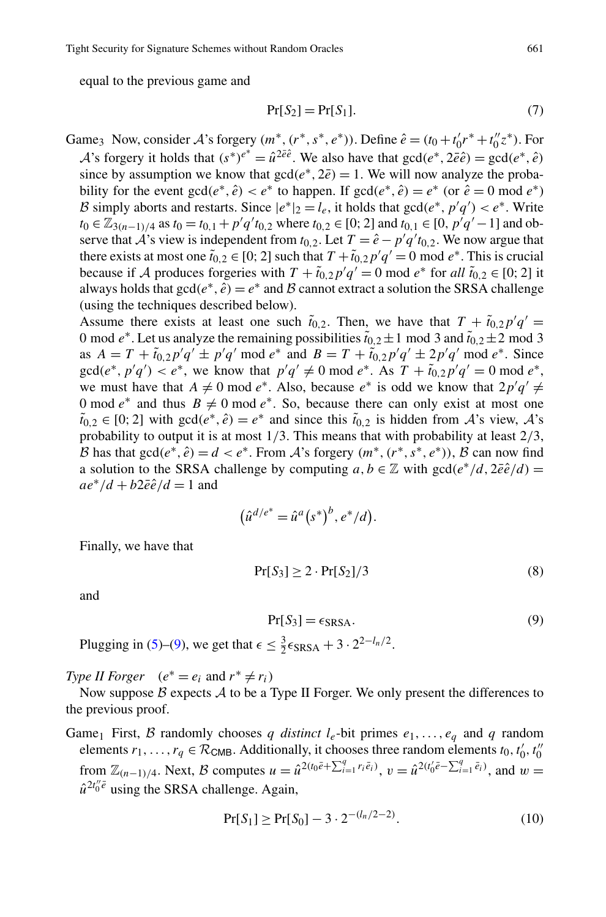Tight Security for Signature Schemes without Random Oracles 661

equal to the previous game and

$$
Pr[S_2] = Pr[S_1]. \tag{7}
$$

Game<sub>3</sub> Now, consider A's forgery  $(m^*, (r^*, s^*, e^*))$ . Define  $\hat{e} = (t_0 + t_0'r^* + t_0''z^*)$ . For *A*'s forgery it holds that  $(s^*)^{e^*} = \hat{u}^{2\bar{e}\hat{e}}$ . We also have that  $gcd(e^*, 2\bar{e}\hat{e}) = gcd(e^*, \hat{e})$ since by assumption we know that  $gcd(e^*, 2\bar{e}) = 1$ . We will now analyze the probability for the event  $gcd(e^*, \hat{e}) < e^*$  to happen. If  $gcd(e^*, \hat{e}) = e^*$  (or  $\hat{e} = 0 \mod e^*$ ) B simply aborts and restarts. Since  $|e^*|_2 = l_e$ , it holds that  $gcd(e^*, p'q') < e^*$ . Write *t*<sub>0</sub> ∈  $\mathbb{Z}_{3(n-1)/4}$  as *t*<sub>0</sub> = *t*<sub>0</sub>,1</sub> + *p*'*q*'*t*<sub>0</sub>,2 where *t*<sub>0</sub>,2</sub> ∈ [0; 2] and *t*<sub>0,1</sub> ∈ [0, *p*'*q*' − 1] and observe that  $\hat{A}$ 's view is independent from  $t_{0,2}$ . Let  $T = \hat{e} - p'q't_{0,2}$ . We now argue that there exists at most one  $\tilde{t}_{0,2} \in [0; 2]$  such that  $T + \tilde{t}_{0,2} p' q' = 0 \text{ mod } e^*$ . This is crucial because if A produces forgeries with  $T + \tilde{t}_{0,2} p' q' = 0 \text{ mod } e^*$  for all  $\tilde{t}_{0,2} \in [0, 2]$  it always holds that  $gcd(e^*, \hat{e}) = e^*$  and B cannot extract a solution the SRSA challenge (using the techniques described below).

Assume there exists at least one such  $\tilde{t}_{0,2}$ . Then, we have that  $T + \tilde{t}_{0,2} p' q' =$ 0 mod  $e^*$ . Let us analyze the remaining possibilities  $\tilde{t}_{0,2} \pm 1$  mod 3 and  $\tilde{t}_{0,2} \pm 2$  mod 3 as  $A = T + \tilde{t}_{0,2}p'q' \pm p'q' \mod e^*$  and  $B = T + \tilde{t}_{0,2}p'q' \pm 2p'q' \mod e^*$ . Since  $gcd(e^*, p'q') < e^*$ , we know that  $p'q' \neq 0 \mod e^*$ . As  $T + \tilde{t}_{0,2}p'q' = 0 \mod e^*$ , we must have that  $A \neq 0$  mod  $e^*$ . Also, because  $e^*$  is odd we know that  $2p'q' \neq$ 0 mod  $e^*$  and thus  $B \neq 0$  mod  $e^*$ . So, because there can only exist at most one  $\tilde{t}_{0,2}$  ∈ [0; 2] with gcd( $e^*, \hat{e}$ ) =  $e^*$  and since this  $\tilde{t}_{0,2}$  is hidden from A's view, A's probability to output it is at most 1*/*3. This means that with probability at least 2*/*3, B has that  $gcd(e^*, \hat{e}) = d < e^*$ . From A's forgery  $(m^*, (r^*, s^*, e^*))$ , B can now find a solution to the SRSA challenge by computing  $a, b \in \mathbb{Z}$  with  $gcd(e^*/d, 2\bar{e}\hat{e}/d)$  =  $ae^*/d + b2\bar{e}\hat{e}/d = 1$  and

<span id="page-20-0"></span>
$$
(\hat{u}^{d/e^*} = \hat{u}^a(s^*)^b, e^*/d).
$$

Finally, we have that

$$
Pr[S_3] \ge 2 \cdot Pr[S_2]/3 \tag{8}
$$

and

<span id="page-20-1"></span>
$$
Pr[S_3] = \epsilon_{SRSA}.
$$
\n(9)

Plugging in ([5\)](#page-19-0)–[\(9](#page-20-0)), we get that  $\epsilon \leq \frac{3}{2} \epsilon_{\text{SRSA}} + 3 \cdot 2^{2-l_n/2}$ .

*Type II Forger*  $(e^* = e_i \text{ and } r^* \neq r_i)$ 

Now suppose  $\beta$  expects  $\mathcal A$  to be a Type II Forger. We only present the differences to the previous proof.

Game<sub>1</sub> First, B randomly chooses *q distinct*  $l_e$ -bit primes  $e_1, \ldots, e_q$  and *q* random elements  $r_1, \ldots, r_q \in \mathcal{R}_{CMB}$ . Additionally, it chooses three random elements  $t_0, t'_0, t''_0$ from  $\mathbb{Z}_{(n-1)/4}$ . Next, B computes  $u = \hat{u}^{2(t_0\bar{e} + \sum_{i=1}^q r_i\bar{e}_i)}$ ,  $v = \hat{u}^{2(t'_0\bar{e} - \sum_{i=1}^q \bar{e}_i)}$ , and  $w =$  $\hat{u}^{2t_0''\bar{e}}$  using the SRSA challenge. Again,

$$
Pr[S_1] \ge Pr[S_0] - 3 \cdot 2^{-(l_n/2 - 2)}.
$$
\n(10)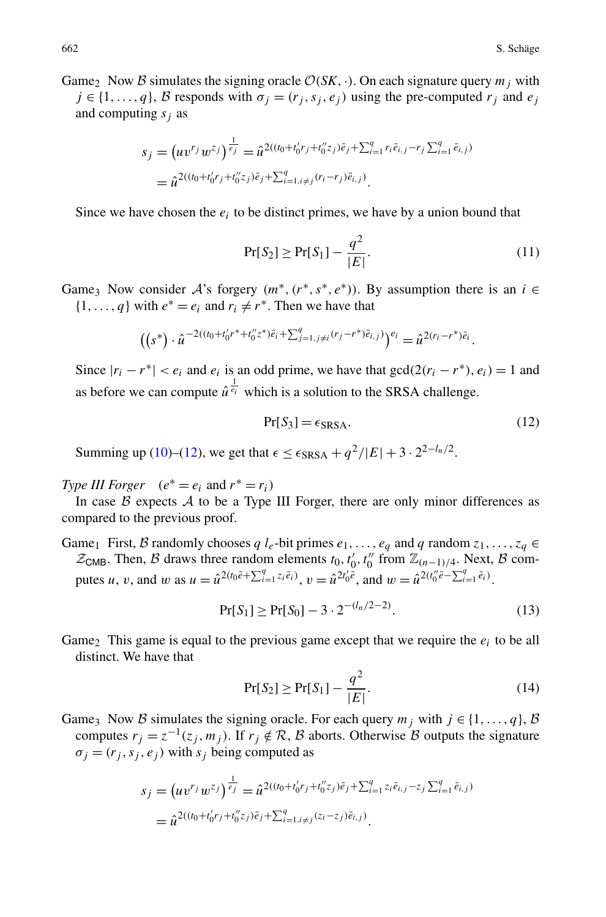Game<sub>2</sub> Now B simulates the signing oracle  $\mathcal{O}(SK, \cdot)$ . On each signature query  $m_i$  with  $j \in \{1, ..., q\}, \mathcal{B}$  responds with  $\sigma_i = (r_i, s_i, e_j)$  using the pre-computed  $r_j$  and  $e_j$ and computing  $s_i$  as

$$
s_j = (uv^{r_j} w^{z_j})^{\frac{1}{e_j}} = \hat{u}^{2((t_0 + t'_0 r_j + t''_0 z_j)\bar{e}_j + \sum_{i=1}^q r_i \bar{e}_{i,j} - r_j \sum_{i=1}^q \bar{e}_{i,j})}
$$
  
=  $\hat{u}^{2((t_0 + t'_0 r_j + t''_0 z_j)\bar{e}_j + \sum_{i=1, i \neq j}^q (r_i - r_j)\bar{e}_{i,j})}$ .

Since we have chosen the  $e_i$  to be distinct primes, we have by a union bound that

<span id="page-21-0"></span>
$$
\Pr[S_2] \ge \Pr[S_1] - \frac{q^2}{|E|}.\tag{11}
$$

Game<sub>3</sub> Now consider A's forgery  $(m^*, (r^*, s^*, e^*))$ . By assumption there is an  $i \in$  $\{1, \ldots, q\}$  with  $e^* = e_i$  and  $r_i \neq r^*$ . Then we have that

$$
((s^*) \cdot \hat{u}^{-2((t_0+t'_0r^*+t''_0z^*)\bar{e}_i+\sum_{j=1,j\neq i}^q (r_j-r^*)\bar{e}_{i,j})})^{e_i} = \hat{u}^{2(r_i-r^*)\bar{e}_i}.
$$

Since  $|r_i - r^*| < e_i$  and  $e_i$  is an odd prime, we have that  $gcd(2(r_i - r^*), e_i) = 1$  and as before we can compute  $\hat{u}^{\frac{1}{e_i}}$  which is a solution to the SRSA challenge.

<span id="page-21-1"></span>
$$
Pr[S_3] = \epsilon_{SRSA}.
$$
 (12)

Summing up ([10\)](#page-20-1)–[\(12](#page-21-0)), we get that  $\epsilon \leq \epsilon_{\text{SRSA}} + q^2/|E| + 3 \cdot 2^{2-l_n/2}$ .

*Type III Forger*  $(e^* = e_i \text{ and } r^* = r_i)$ 

In case  $\beta$  expects  $\mathcal A$  to be a Type III Forger, there are only minor differences as compared to the previous proof.

Game<sub>1</sub> First, B randomly chooses  $q \, l_e$ -bit primes  $e_1, \ldots, e_q$  and  $q$  random  $z_1, \ldots, z_q \in$  $\mathcal{Z}_{CMB}$ . Then, B draws three random elements  $t_0, t'_0, t''_0$  from  $\mathbb{Z}_{(n-1)/4}$ . Next, B computes *u*, *v*, and *w* as  $u = \hat{u}^{2(t_0 \bar{e} + \sum_{i=1}^q z_i \bar{e}_i)}$ ,  $v = \hat{u}^{2t_0' \bar{e}}$ , and  $w = \hat{u}^{2(t_0'' \bar{e} - \sum_{i=1}^q \bar{e}_i)}$ .

$$
Pr[S_1] \ge Pr[S_0] - 3 \cdot 2^{-(l_n/2 - 2)}.
$$
\n(13)

Game<sub>2</sub> This game is equal to the previous game except that we require the  $e_i$  to be all distinct. We have that

$$
Pr[S_2] \ge Pr[S_1] - \frac{q^2}{|E|}.
$$
\n(14)

Game<sub>3</sub> Now B simulates the signing oracle. For each query  $m_j$  with  $j \in \{1, ..., q\}, \mathcal{B}$ computes  $r_j = z^{-1}(z_j, m_j)$ . If  $r_j \notin \mathcal{R}$ , B aborts. Otherwise B outputs the signature  $\sigma_j = (r_j, s_j, e_j)$  with  $s_j$  being computed as

$$
s_j = (uv^{r_j} w^{z_j})^{\frac{1}{e_j}} = \hat{u}^{2((t_0 + t'_0 r_j + t''_0 z_j)\tilde{e}_j + \sum_{i=1}^q z_i \tilde{e}_{i,j} - z_j \sum_{i=1}^q \tilde{e}_{i,j})}
$$
  
=  $\hat{u}^{2((t_0 + t'_0 r_j + t''_0 z_j)\tilde{e}_j + \sum_{i=1, i \neq j}^q (z_i - z_j)\tilde{e}_{i,j})}$ .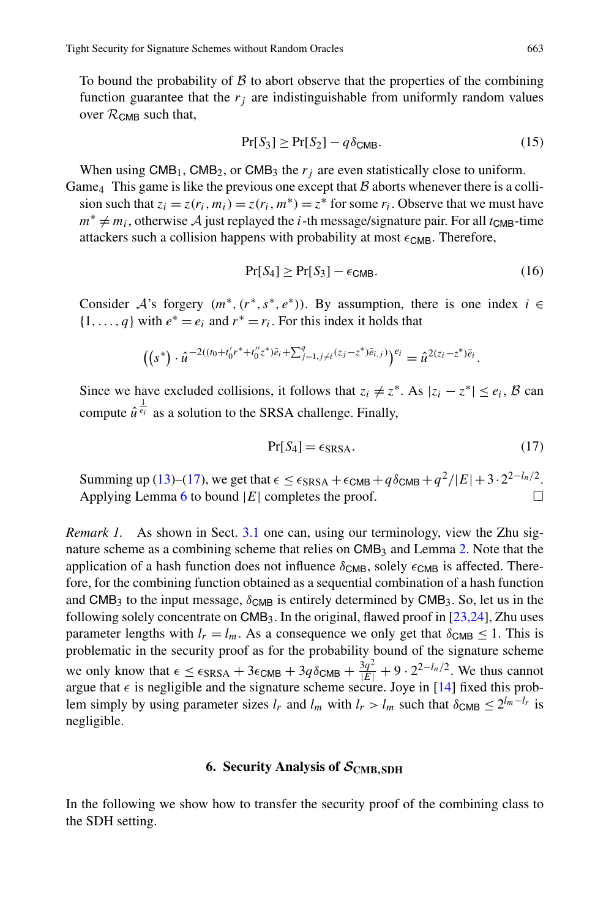To bound the probability of  $\beta$  to abort observe that the properties of the combining function guarantee that the  $r_i$  are indistinguishable from uniformly random values over  $\mathcal{R}_{\text{CMB}}$  such that,

$$
\Pr[S_3] \ge \Pr[S_2] - q\delta_{\text{CMB}}.\tag{15}
$$

When using  $CMB_1$ ,  $CMB_2$ , or  $CMB_3$  the  $r_i$  are even statistically close to uniform.

Game<sub>4</sub> This game is like the previous one except that  $\beta$  aborts whenever there is a collision such that  $z_i = z(r_i, m_i) = z(r_i, m^*) = z^*$  for some  $r_i$ . Observe that we must have  $m^* \neq m_i$ , otherwise A just replayed the *i*-th message/signature pair. For all  $t_{CMB}$ -time attackers such a collision happens with probability at most  $\epsilon_{CMB}$ . Therefore,

<span id="page-22-1"></span>
$$
\Pr[S_4] \ge \Pr[S_3] - \epsilon_{\text{CMB}}.\tag{16}
$$

Consider A's forgery  $(m^*, (r^*, s^*, e^*))$ . By assumption, there is one index  $i \in$  $\{1, \ldots, q\}$  with  $e^* = e_i$  and  $r^* = r_i$ . For this index it holds that

$$
\big( \big( s^* \big) \cdot \hat{u}^{-2((t_0+t_0'r^*+t_0''z^*)\bar{e}_i+\sum_{j=1, j\neq i}^q (z_j-z^*)\bar{e}_{i,j})} \big)^{e_i} = \hat{u}^{2(z_i-z^*)\bar{e}_i}.
$$

Since we have excluded collisions, it follows that  $z_i \neq z^*$ . As  $|z_i - z^*| \leq e_i$ , B can compute  $\hat{u}^{\frac{1}{e_i}}$  as a solution to the SRSA challenge. Finally,

$$
Pr[S_4] = \epsilon_{SRSA}.
$$
 (17)

Summing up [\(13\)](#page-21-1)–([17\)](#page-22-1), we get that  $\epsilon \leq \epsilon_{SRSA} + \epsilon_{CMB} + q\delta_{CMB} + q^2/|E| + 3 \cdot 2^{2-l_n/2}$ .<br>Applying Lemma 6 to bound  $|E|$  completes the proof Applying Lemma  $6$  to bound  $|E|$  completes the proof.

<span id="page-22-0"></span>*Remark 1.* As shown in Sect. [3.1](#page-11-2) one can, using our terminology, view the Zhu signature scheme as a combining scheme that relies on  $\text{CMB}_3$  and Lemma [2](#page-8-1). Note that the application of a hash function does not influence  $\delta_{\text{CMB}}$ , solely  $\epsilon_{\text{CMB}}$  is affected. Therefore, for the combining function obtained as a sequential combination of a hash function and CMB<sub>3</sub> to the input message,  $\delta_{\text{CMB}}$  is entirely determined by CMB<sub>3</sub>. So, let us in the following solely concentrate on  $CMB<sub>3</sub>$ . In the original, flawed proof in [[23](#page-29-3)[,24](#page-29-1)], Zhu uses parameter lengths with  $l_r = l_m$ . As a consequence we only get that  $\delta_{CMB} \leq 1$ . This is problematic in the security proof as for the probability bound of the signature scheme we only know that  $\epsilon \leq \epsilon_{\text{SRSA}} + 3\epsilon_{\text{CMB}} + 3q\delta_{\text{CMB}} + \frac{3q^2}{|E|} + 9 \cdot 2^{2-l_n/2}$ . We thus cannot argue that  $\epsilon$  is negligible and the signature scheme secure. Joye in [[14\]](#page-29-5) fixed this problem simply by using parameter sizes  $l_r$  and  $l_m$  with  $l_r > l_m$  such that  $\delta_{\text{CMB}} \leq 2^{l_m - l_r}$  is negligible.

# **6. Security Analysis of**  $S_{\text{CMB},\text{SDH}}$

In the following we show how to transfer the security proof of the combining class to the SDH setting.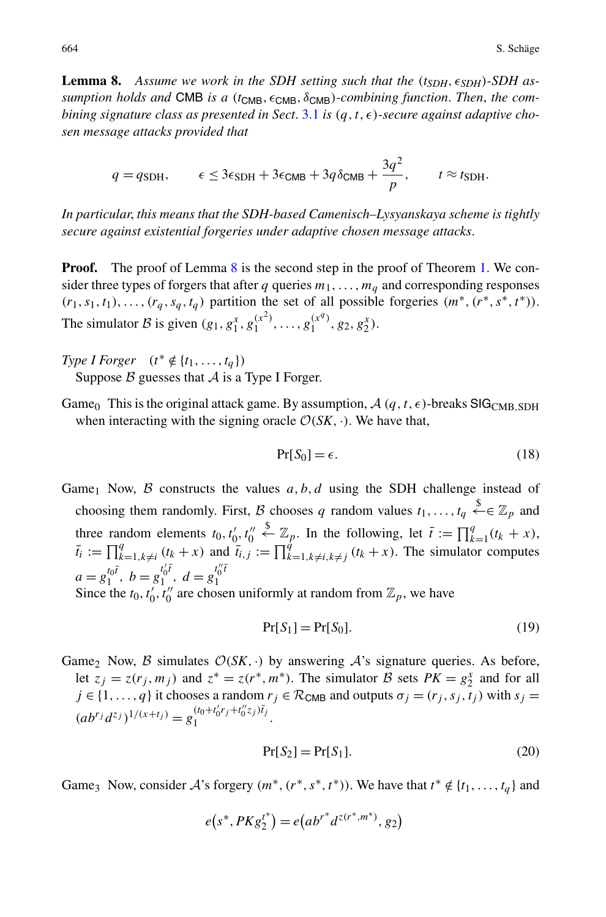<span id="page-23-0"></span>**Lemma 8.** Assume we work in the SDH setting such that the  $(t_{SDH}, \epsilon_{SDH})$ -SDH as*sumption holds and* CMB *is a* ( $t$ <sub>CMB</sub>,  $\epsilon$ <sub>CMB</sub>,  $\delta$ <sub>CMB</sub>)*-combining function. Then, the combining signature class as presented in Sect.* [3.1](#page-11-2) *is*  $(q, t, \epsilon)$ -secure against adaptive cho*sen message attacks provided that*

$$
q = q_{\text{SDH}}, \qquad \epsilon \leq 3\epsilon_{\text{SDH}} + 3\epsilon_{\text{CMB}} + 3q\delta_{\text{CMB}} + \frac{3q^2}{p}, \qquad t \approx t_{\text{SDH}}.
$$

*In particular*, *this means that the SDH-based Camenisch–Lysyanskaya scheme is tightly secure against existential forgeries under adaptive chosen message attacks*.

**Proof.** The proof of Lemma [8](#page-23-0) is the second step in the proof of Theorem [1.](#page-14-2) We consider three types of forgers that after *q* queries  $m_1, \ldots, m_q$  and corresponding responses  $(r_1, s_1, t_1), \ldots, (r_q, s_q, t_q)$  partition the set of all possible forgeries  $(m^*, (r^*, s^*, t^*))$ . The simulator B is given  $(g_1, g_1^x, g_1^{(x^2)}, \ldots, g_1^{(x^q)}, g_2, g_2^x)$ .

- *Type I Forger* (*t*<sup>∗</sup> ∉ {*t*<sub>1</sub>*,...,t*<sub>*q*</sub>}) Suppose  $\beta$  guesses that  $\mathcal A$  is a Type I Forger.
- Game<sub>0</sub> This is the original attack game. By assumption,  $A(q, t, \epsilon)$ -breaks SIG<sub>CMB</sub>, SDH when interacting with the signing oracle  $\mathcal{O}(SK, \cdot)$ . We have that,

<span id="page-23-1"></span>
$$
Pr[S_0] = \epsilon. \tag{18}
$$

Game<sub>1</sub> Now,  $\beta$  constructs the values  $a, b, d$  using the SDH challenge instead of choosing them randomly. First, B chooses q random values  $t_1, \ldots, t_q \stackrel{\$}{\leftarrow} \in \mathbb{Z}_p$  and three random elements  $t_0, t'_0, t''_0$  $\overset{\$}{\leftarrow} \mathbb{Z}_p$ . In the following, let  $\bar{t} := \prod_{k=1}^q (t_k + x)$ ,  $\bar{t}_i := \prod_{k=1, k \neq i}^q (t_k + x)$  and  $\bar{t}_{i,j} := \prod_{k=1, k \neq i, k \neq j}^q (t_k + x)$ . The simulator computes  $a = g_1^{t_0 t}, b = g_1^{t'_0 t}, d = g_1^{t''_0 t}$ 1 Since the  $t_0, t'_0, t''_0$  are chosen uniformly at random from  $\mathbb{Z}_p$ , we have

$$
Pr[S_1] = Pr[S_0].
$$
\n<sup>(19)</sup>

Game<sub>2</sub> Now, B simulates  $O(SK, \cdot)$  by answering A's signature queries. As before, let  $z_j = z(r_j, m_j)$  and  $z^* = z(r^*, m^*)$ . The simulator B sets  $PK = g_2^x$  and for all  $j \in \{1, ..., q\}$  it chooses a random  $r_j \in \mathcal{R}_{\text{CMB}}$  and outputs  $\sigma_j = (r_j, s_j, t_j)$  with  $s_j =$  $(ab^{r_j}d^{z_j})^{1/(x+t_j)} = g_1^{(t_0+t'_0r_j+t''_0z_j)\bar{t}_j}.$ 

$$
Pr[S_2] = Pr[S_1].
$$
\n<sup>(20)</sup>

Game<sub>3</sub> Now, consider A's forgery  $(m^*, (r^*, s^*, t^*))$ . We have that  $t^* \notin \{t_1, \ldots, t_q\}$  and

$$
e(s^*, PKg_2^{t^*}) = e(ab^{r^*}d^{z(r^*,m^*)}, g_2)
$$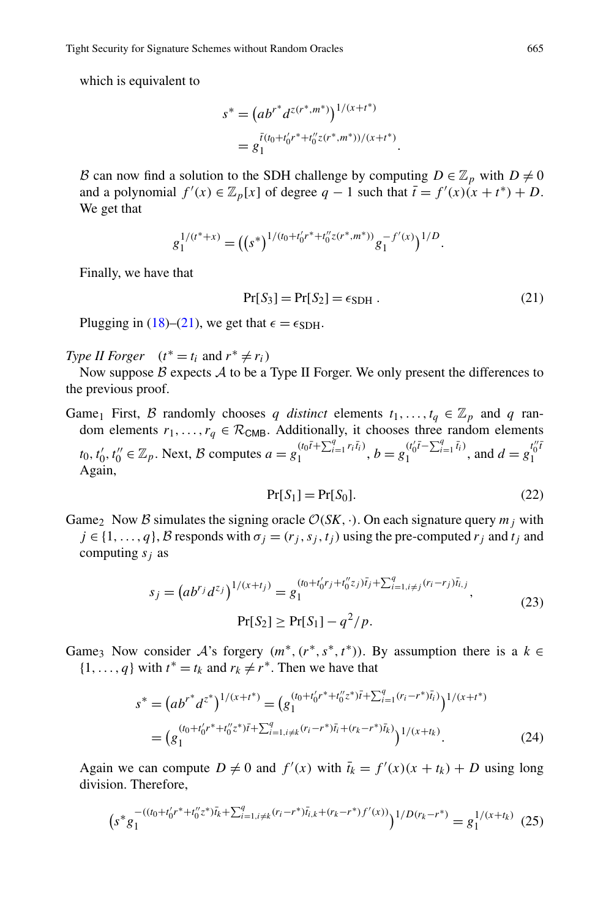which is equivalent to

<span id="page-24-0"></span>
$$
s^* = (ab^{r^*}d^{z(r^*,m^*)})^{1/(x+t^*)}
$$
  
= 
$$
g_1^{\bar{t}(t_0+t'_0r^*+t''_0z(r^*,m^*))/(x+t^*)}
$$
.

B can now find a solution to the SDH challenge by computing  $D \in \mathbb{Z}_p$  with  $D \neq 0$ and a polynomial  $f'(x) \in \mathbb{Z}_p[x]$  of degree  $q - 1$  such that  $\bar{t} = f'(x)(x + t^*) + D$ . We get that

$$
g_1^{1/(t^*+x)} = ((s^*)^{1/(t_0+t'_0r^*+t''_0z(r^*,m^*))}g_1^{-f'(x)})^{1/D}.
$$

Finally, we have that

<span id="page-24-1"></span>
$$
Pr[S_3] = Pr[S_2] = \epsilon_{SDH} . \qquad (21)
$$

Plugging in ([18\)](#page-23-1)–[\(21](#page-24-0)), we get that  $\epsilon = \epsilon_{SDH}$ .

*Type II Forger*  $(t^* = t_i \text{ and } r^* \neq r_i)$ 

Now suppose  $\beta$  expects  $\mathcal A$  to be a Type II Forger. We only present the differences to the previous proof.

Game<sub>1</sub> First, B randomly chooses q distinct elements  $t_1, \ldots, t_q \in \mathbb{Z}_p$  and q random elements  $r_1, \ldots, r_q \in \mathcal{R}_{CMB}$ . Additionally, it chooses three random elements  $t_0, t'_0, t''_0 \in \mathbb{Z}_p$ . Next, B computes  $a = g_1^{(t_0\bar{t} + \sum_{i=1}^q r_i\bar{t}_i)}, b = g_1^{(t'_0\bar{t} - \sum_{i=1}^q \bar{t}_i)},$  and  $d = g_1^{t''_0\bar{t}}$ 1 Again,

$$
Pr[S_1] = Pr[S_0].
$$
\n<sup>(22)</sup>

Game<sub>2</sub> Now B simulates the signing oracle  $\mathcal{O}(SK, \cdot)$ . On each signature query  $m_i$  with  $j \in \{1, \ldots, q\}, \mathcal{B}$  responds with  $\sigma_i = (r_i, s_j, t_i)$  using the pre-computed  $r_j$  and  $t_j$  and computing *sj* as

$$
s_j = (ab^{r_j}d^{z_j})^{1/(x+t_j)} = g_1^{(t_0+t'_0r_j+t''_0z_j)\bar{t}_j + \sum_{i=1, i \neq j}^{q} (r_i-r_j)\bar{t}_i, j},
$$
  
\n
$$
\Pr[S_2] \ge \Pr[S_1] - q^2/p.
$$
\n(23)

Game<sub>3</sub> Now consider  $A$ 's forgery  $(m^*, (r^*, s^*, t^*))$ . By assumption there is a  $k \in$  $\{1, \ldots, q\}$  with  $t^* = t_k$  and  $r_k \neq r^*$ . Then we have that

$$
s^* = (ab^{r^*}d^{z^*})^{1/(x+t^*)} = (g_1^{(t_0+t'_0r^*+t''_0z^*)\bar{t} + \sum_{i=1}^q (r_i - r^*)\bar{t}_i})^{1/(x+t^*)}
$$
  
= 
$$
(g_1^{(t_0+t'_0r^*+t''_0z^*)\bar{t} + \sum_{i=1, i\neq k}^q (r_i - r^*)\bar{t}_i + (r_k - r^*)\bar{t}_k})^{1/(x+t_k)}.
$$
 (24)

Again we can compute  $D \neq 0$  and  $f'(x)$  with  $\bar{t}_k = f'(x)(x + t_k) + D$  using long division. Therefore,

$$
\left(s^*g_1^{-(t_0+t_0'r^*+t_0''z^*)\bar{t}_k+\sum_{i=1,i\neq k}^q (r_i-r^*)\bar{t}_{i,k}+(r_k-r^*)f'(x))}\right)^{1/D(r_k-r^*)}=g_1^{1/(x+t_k)}(25)
$$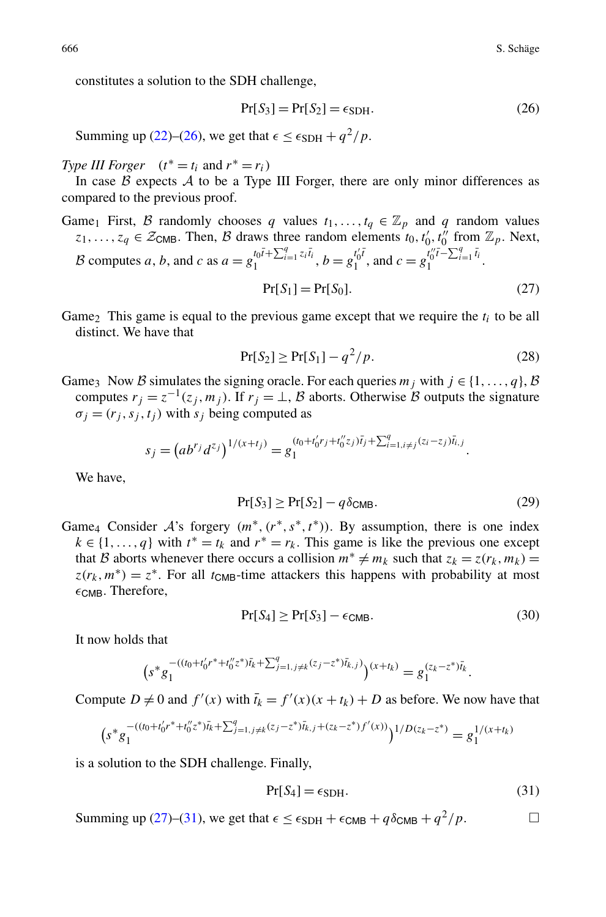constitutes a solution to the SDH challenge,

<span id="page-25-1"></span><span id="page-25-0"></span>
$$
Pr[S_3] = Pr[S_2] = \epsilon_{SDH}.
$$
\n(26)

Summing up ([22\)](#page-24-1)–[\(26](#page-25-0)), we get that  $\epsilon < \epsilon_{SDH} + q^2/p$ .

*Type III Forger*  $(t^* = t_i \text{ and } r^* = r_i)$ 

In case  $\beta$  expects  $\mathcal A$  to be a Type III Forger, there are only minor differences as compared to the previous proof.

Game<sub>1</sub> First, B randomly chooses q values  $t_1, \ldots, t_q \in \mathbb{Z}_p$  and q random values  $z_1, \ldots, z_q \in \mathcal{Z}_{CMB}$ . Then, B draws three random elements  $t_0, t'_0, t''_0$  from  $\mathbb{Z}_p$ . Next, B computes a, b, and c as  $a = g_1^{t_0 \bar{t} + \sum_{i=1}^q z_i \bar{t}_i}$ ,  $b = g_1^{t'_0 \bar{t}}$ , and  $c = g_1^{t''_0 \bar{t} - \sum_{i=1}^q \bar{t}_i}$ .

$$
Pr[S_1] = Pr[S_0].
$$
\n<sup>(27)</sup>

Game<sub>2</sub> This game is equal to the previous game except that we require the  $t_i$  to be all distinct. We have that

$$
Pr[S_2] \ge Pr[S_1] - q^2/p. \tag{28}
$$

Game<sub>3</sub> Now B simulates the signing oracle. For each queries  $m_j$  with  $j \in \{1, ..., q\}, \mathcal{B}$ computes  $r_j = z^{-1}(z_j, m_j)$ . If  $r_j = \perp$ , B aborts. Otherwise B outputs the signature  $\sigma_i = (r_i, s_i, t_i)$  with  $s_i$  being computed as

$$
s_j = (ab^{r_j}d^{z_j})^{1/(x+t_j)} = g_1^{(t_0+t'_0r_j+t''_0z_j)\overline{t}_j + \sum_{i=1, i \neq j}^q (z_i-z_j)\overline{t}_{i,j}}.
$$

We have,

$$
Pr[S_3] \ge Pr[S_2] - q\delta_{\text{CMB}}.\tag{29}
$$

Game<sub>4</sub> Consider A's forgery  $(m^*, (r^*, s^*, t^*))$ . By assumption, there is one index  $k \in \{1, ..., q\}$  with  $t^* = t_k$  and  $r^* = r_k$ . This game is like the previous one except that B aborts whenever there occurs a collision  $m^* \neq m_k$  such that  $z_k = z(r_k, m_k) =$  $z(r_k, m^*) = z^*$ . For all  $t_{CMB}$ -time attackers this happens with probability at most  $\epsilon$ <sub>CMB</sub>. Therefore,

<span id="page-25-2"></span>
$$
\Pr[S_4] \ge \Pr[S_3] - \epsilon_{\text{CMB}}.\tag{30}
$$

It now holds that

$$
(s^*g_1^{-(t_0+t_0'r^*+t_0''z^*)\bar{t}_k+\sum_{j=1,j\neq k}^q(z_j-z^*)\bar{t}_{k,j})}(x+t_k)=g_1^{(z_k-z^*)\bar{t}_k}.
$$

Compute  $D \neq 0$  and  $f'(x)$  with  $\bar{t}_k = f'(x)(x + t_k) + D$  as before. We now have that

$$
(s^*g_1^{-(t_0+t_0'r^*+t_0''z^*)\bar{t}_k+\sum_{j=1,j\neq k}^q(z_j-z^*)\bar{t}_{k,j}+(z_k-z^*)f'(x))})^{1/D(z_k-z^*)}=g_1^{1/(x+t_k)}
$$

is a solution to the SDH challenge. Finally,

$$
Pr[S_4] = \epsilon_{SDH}.
$$
\n(31)

Summing up ([27\)](#page-25-1)–[\(31](#page-25-2)), we get that  $\epsilon \leq \epsilon_{SDH} + \epsilon_{CMB} + q\delta_{CMB} + q^2/p$ .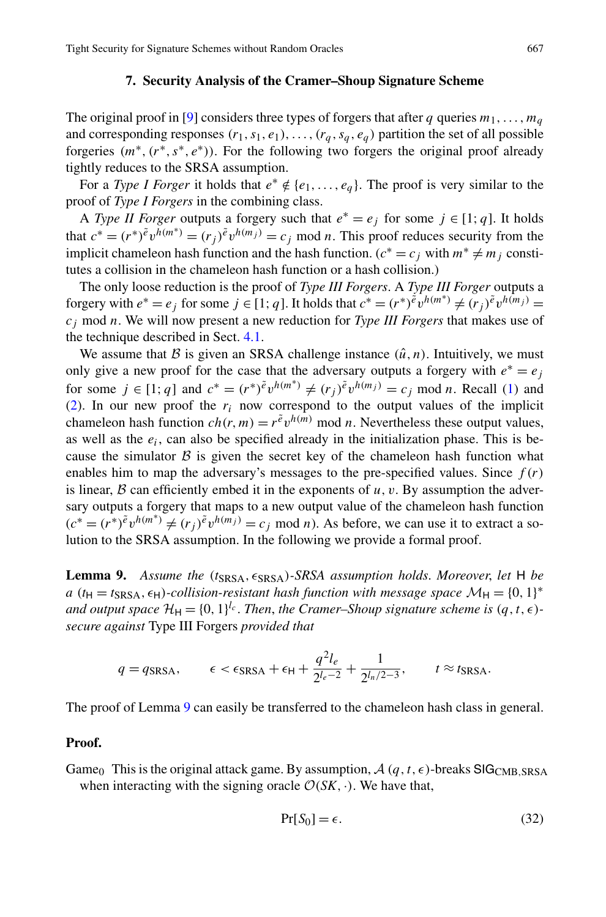#### **7. Security Analysis of the Cramer–Shoup Signature Scheme**

<span id="page-26-0"></span>The original proof in [[9\]](#page-28-3) considers three types of forgers that after *q* queries  $m_1, \ldots, m_q$ and corresponding responses  $(r_1, s_1, e_1), \ldots, (r_q, s_q, e_q)$  partition the set of all possible forgeries *(m*∗*,(r*∗*,s*∗*,e*∗*))*. For the following two forgers the original proof already tightly reduces to the SRSA assumption.

For a *Type I Forger* it holds that  $e^* \notin \{e_1, \ldots, e_a\}$ . The proof is very similar to the proof of *Type I Forgers* in the combining class.

A *Type II Forger* outputs a forgery such that  $e^* = e_j$  for some  $j \in [1; q]$ . It holds that  $c^* = (r^*)^{\tilde{e}} v^{h(m^*)} = (r_j)^{\tilde{e}} v^{h(m_j)} = c_j \text{ mod } n$ . This proof reduces security from the implicit chameleon hash function and the hash function. ( $c^* = c_j$  with  $m^* \neq m_j$  constitutes a collision in the chameleon hash function or a hash collision.)

The only loose reduction is the proof of *Type III Forgers*. A *Type III Forger* outputs a forgery with  $e^* = e_j$  for some  $j \in [1; q]$ . It holds that  $c^* = (r^*)^{\tilde{e}} v^{h(m^*)} \neq (r_j)^{\tilde{e}} v^{h(m_j)} =$ *cj* mod *n*. We will now present a new reduction for *Type III Forgers* that makes use of the technique described in Sect. [4.1](#page-14-3).

<span id="page-26-1"></span>We assume that  $\beta$  is given an SRSA challenge instance  $(\hat{u}, n)$ . Intuitively, we must only give a new proof for the case that the adversary outputs a forgery with  $e^* = e_i$ for some  $j \in [1; q]$  and  $c^* = (r^*)^{\tilde{e}} v^{h(m^*)} \neq (r_j)^{\tilde{e}} v^{h(m_j)} = c_j \text{ mod } n$ . Recall ([1\)](#page-15-0) and [\(2](#page-15-2)). In our new proof the  $r_i$  now correspond to the output values of the implicit chameleon hash function  $ch(r, m) = r^{\tilde{e}} v^{h(m)}$  mod *n*. Nevertheless these output values, as well as the  $e_i$ , can also be specified already in the initialization phase. This is because the simulator  $\beta$  is given the secret key of the chameleon hash function what enables him to map the adversary's messages to the pre-specified values. Since  $f(r)$ is linear,  $\beta$  can efficiently embed it in the exponents of  $u, v$ . By assumption the adversary outputs a forgery that maps to a new output value of the chameleon hash function  $(c^* = (r^*)^{\tilde{e}} v^{h(m^*)} \neq (r_j)^{\tilde{e}} v^{h(m_j)} = c_j \text{ mod } n$ . As before, we can use it to extract a solution to the SRSA assumption. In the following we provide a formal proof.

**Lemma 9.** Assume the (t<sub>SRSA</sub>,  $\epsilon$ <sub>SRSA</sub>)-SRSA assumption holds. Moreover, let H be  $a(t_H = t_{SRSA}, \epsilon_H)$ *-collision-resistant hash function with message space*  $M_H = \{0, 1\}^*$ *and output space*  $\mathcal{H}_{H} = \{0, 1\}^{l_c}$ . *Then, the Cramer–Shoup signature scheme is*  $(q, t, \epsilon)$ *secure against* Type III Forgers *provided that*

$$
q = q_{\text{SRSA}}, \qquad \epsilon < \epsilon_{\text{SRSA}} + \epsilon_{\text{H}} + \frac{q^2 l_e}{2^{l_e - 2}} + \frac{1}{2^{l_n/2 - 3}}, \qquad t \approx t_{\text{SRSA}}.
$$

The proof of Lemma [9](#page-26-1) can easily be transferred to the chameleon hash class in general.

## **Proof.**

Game<sub>0</sub> This is the original attack game. By assumption,  $\mathcal{A}(q, t, \epsilon)$ -breaks SIG<sub>CMB</sub>, SRSA when interacting with the signing oracle  $\mathcal{O}(SK, \cdot)$ . We have that,

$$
Pr[S_0] = \epsilon. \tag{32}
$$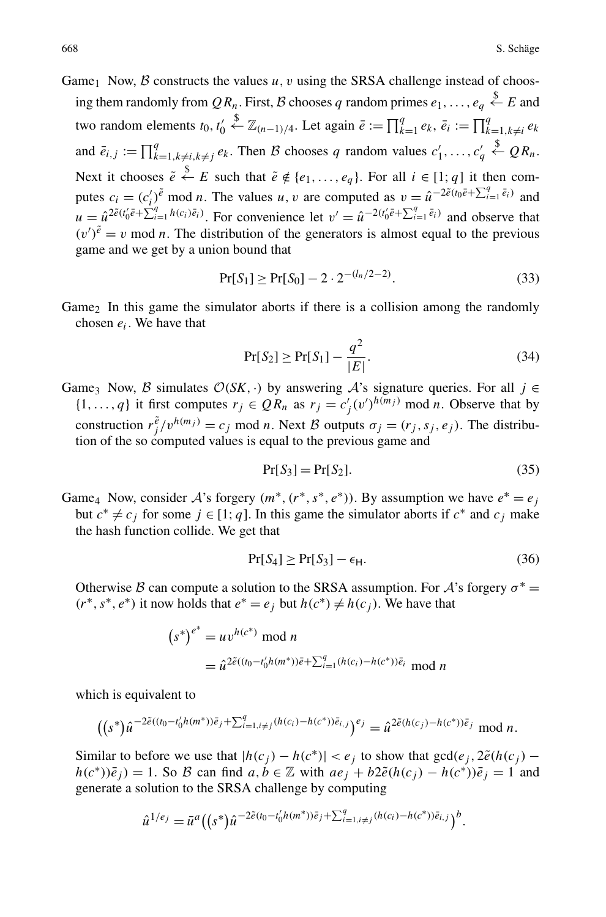Game<sub>1</sub> Now, B constructs the values  $u, v$  using the SRSA challenge instead of choosing them randomly from  $QR_n$ . First, B chooses q random primes  $e_1, \ldots, e_q \overset{\$}{\leftarrow} E$  and two random elements  $t_0, t'_0$  $\xi$ <sup>*k*</sup>  $\mathbb{Z}_{(n-1)/4}$ . Let again  $\bar{e} := \prod_{k=1}^{q} e_k$ ,  $\bar{e}_i := \prod_{k=1, k \neq i}^{q} e_k$ and  $\bar{e}_{i,j} := \prod_{k=1, k \neq i, k \neq j}^{q} e_k$ . Then B chooses q random values  $c'_1, \ldots, c'_q$  $\overset{\$}{\leftarrow} QR_n.$ Next it chooses  $\tilde{e} \stackrel{\$}{\leftarrow} E$  such that  $\tilde{e} \notin \{e_1, \ldots, e_q\}$ . For all  $i \in [1; q]$  it then computes  $c_i = (c'_i)^{\tilde{e}}$  mod *n*. The values *u*, *v* are computed as  $v = \hat{u}^{-2\tilde{e}(t_0\tilde{e} + \sum_{i=1}^q \tilde{e}_i)}$  and  $u = \hat{u}^{2\tilde{e}(t_0'\tilde{e} + \sum_{i=1}^q h(c_i)\tilde{e}_i)}$ . For convenience let  $v' = \hat{u}^{-2(t_0'\tilde{e} + \sum_{i=1}^q \tilde{e}_i)}$  and observe that  $(v')^{\tilde{e}} = v$  mod *n*. The distribution of the generators is almost equal to the previous game and we get by a union bound that

$$
Pr[S_1] \ge Pr[S_0] - 2 \cdot 2^{-(l_n/2 - 2)}.
$$
\n(33)

Game<sub>2</sub> In this game the simulator aborts if there is a collision among the randomly chosen *ei*. We have that

$$
Pr[S_2] \ge Pr[S_1] - \frac{q^2}{|E|}.
$$
\n(34)

Game<sub>3</sub> Now, B simulates  $O(SK, \cdot)$  by answering A's signature queries. For all  $j \in$  $\{1, ..., q\}$  it first computes  $r_j \in QR_n$  as  $r_j = c'_j (v')^{h(m_j)} \mod n$ . Observe that by construction  $r_j^{\tilde{e}} / v^{h(m_j)} = c_j \mod n$ . Next B outputs  $\sigma_j = (r_j, s_j, e_j)$ . The distribution of the so computed values is equal to the previous game and

$$
Pr[S_3] = Pr[S_2]. \tag{35}
$$

Game<sub>4</sub> Now, consider A's forgery  $(m^*, (r^*, s^*, e^*))$ . By assumption we have  $e^* = e_j$ but  $c^* ≠ c_j$  for some  $j ∈ [1; q]$ . In this game the simulator aborts if  $c^*$  and  $c_j$  make the hash function collide. We get that

$$
\Pr[S_4] \ge \Pr[S_3] - \epsilon_H. \tag{36}
$$

Otherwise B can compute a solution to the SRSA assumption. For A's forgery  $\sigma^*$  = *(r*<sup>∗</sup>, *s*<sup>∗</sup>, *e*<sup>∗</sup>) it now holds that  $e$ <sup>∗</sup> =  $e_j$  but  $h(c^*)$  ≠  $h(c_j)$ . We have that

$$
(s^*)^{e^*} = uv^{h(c^*)} \mod n
$$
  
=  $\hat{u}^{2\tilde{e}((t_0 - t'_0 h(m^*))\tilde{e} + \sum_{i=1}^q (h(c_i) - h(c^*))\tilde{e}_i} \mod n$ 

which is equivalent to

$$
((s^*)\hat{u}^{-2\tilde{e}((t_0-t'_0h(m^*))\bar{e}_j+\sum_{i=1,i\neq j}^q(h(c_i)-h(c^*))\bar{e}_{i,j})^{e_j}}=\hat{u}^{2\tilde{e}(h(c_j)-h(c^*))\bar{e}_j} \mod n.
$$

Similar to before we use that  $|h(c_j) - h(c^*)| < e_j$  to show that  $gcd(e_j, 2\tilde{e}(h(c_j)$ *h*(*c*<sup>∗</sup>)) $\bar{e}_j$  = 1. So *B* can find *a, b* ∈  $\mathbb Z$  with *ae<sub>j</sub>* + *b*2 $\tilde{e}(h(c_j) - h(c^*))\bar{e}_j = 1$  and generate a solution to the SRSA challenge by computing

$$
\hat{u}^{1/e_j} = \bar{u}^a \big( (s^*) \hat{u}^{-2\tilde{e}(t_0 - t_0'h(m^*))\tilde{e}_j + \sum_{i=1, i \neq j}^q (h(c_i) - h(c^*))\tilde{e}_{i,j}} \big)^b.
$$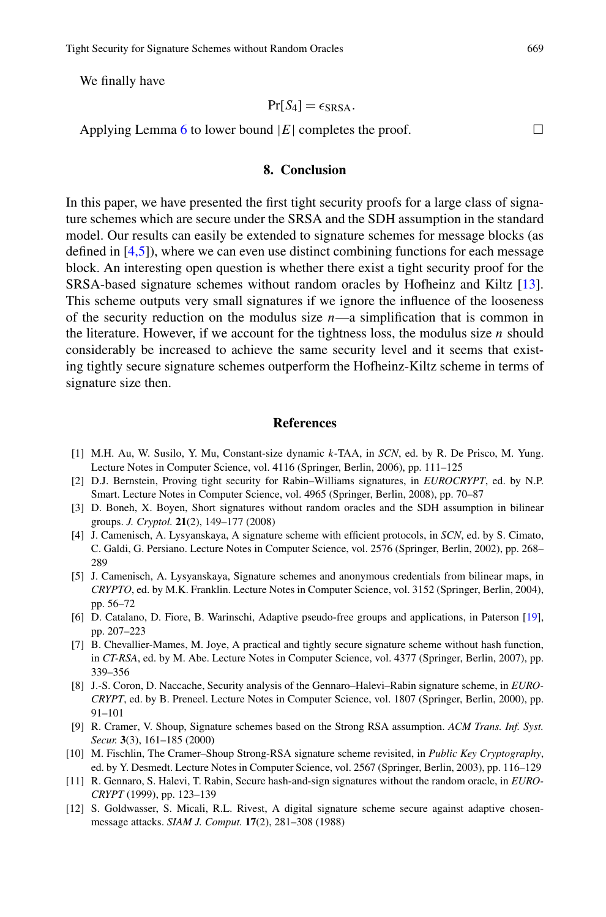We finally have

$$
Pr[S_4] = \epsilon_{SRSA}.
$$

Applying Lemma [6](#page-18-2) to lower bound  $|E|$  completes the proof.  $\Box$ 

# **8. Conclusion**

<span id="page-28-10"></span>In this paper, we have presented the first tight security proofs for a large class of signature schemes which are secure under the SRSA and the SDH assumption in the standard model. Our results can easily be extended to signature schemes for message blocks (as defined in [[4](#page-28-4)[,5](#page-28-11)]), where we can even use distinct combining functions for each message block. An interesting open question is whether there exist a tight security proof for the SRSA-based signature schemes without random oracles by Hofheinz and Kiltz [[13\]](#page-29-4). This scheme outputs very small signatures if we ignore the influence of the looseness of the security reduction on the modulus size  $n$ —a simplification that is common in the literature. However, if we account for the tightness loss, the modulus size  $n$  should considerably be increased to achieve the same security level and it seems that existing tightly secure signature schemes outperform the Hofheinz-Kiltz scheme in terms of signature size then.

## **References**

- <span id="page-28-11"></span><span id="page-28-9"></span><span id="page-28-4"></span><span id="page-28-2"></span>[1] M.H. Au, W. Susilo, Y. Mu, Constant-size dynamic *k*-TAA, in *SCN*, ed. by R. De Prisco, M. Yung. Lecture Notes in Computer Science, vol. 4116 (Springer, Berlin, 2006), pp. 111–125
- <span id="page-28-8"></span>[2] D.J. Bernstein, Proving tight security for Rabin–Williams signatures, in *EUROCRYPT*, ed. by N.P. Smart. Lecture Notes in Computer Science, vol. 4965 (Springer, Berlin, 2008), pp. 70–87
- <span id="page-28-0"></span>[3] D. Boneh, X. Boyen, Short signatures without random oracles and the SDH assumption in bilinear groups. *J. Cryptol.* **21**(2), 149–177 (2008)
- [4] J. Camenisch, A. Lysyanskaya, A signature scheme with efficient protocols, in *SCN*, ed. by S. Cimato, C. Galdi, G. Persiano. Lecture Notes in Computer Science, vol. 2576 (Springer, Berlin, 2002), pp. 268– 289
- <span id="page-28-7"></span>[5] J. Camenisch, A. Lysyanskaya, Signature schemes and anonymous credentials from bilinear maps, in *CRYPTO*, ed. by M.K. Franklin. Lecture Notes in Computer Science, vol. 3152 (Springer, Berlin, 2004), pp. 56–72
- <span id="page-28-5"></span><span id="page-28-3"></span>[6] D. Catalano, D. Fiore, B. Warinschi, Adaptive pseudo-free groups and applications, in Paterson [[19\]](#page-29-11), pp. 207–223
- <span id="page-28-1"></span>[7] B. Chevallier-Mames, M. Joye, A practical and tightly secure signature scheme without hash function, in *CT-RSA*, ed. by M. Abe. Lecture Notes in Computer Science, vol. 4377 (Springer, Berlin, 2007), pp. 339–356
- <span id="page-28-6"></span>[8] J.-S. Coron, D. Naccache, Security analysis of the Gennaro–Halevi–Rabin signature scheme, in *EURO-CRYPT*, ed. by B. Preneel. Lecture Notes in Computer Science, vol. 1807 (Springer, Berlin, 2000), pp. 91–101
- [9] R. Cramer, V. Shoup, Signature schemes based on the Strong RSA assumption. *ACM Trans. Inf. Syst. Secur.* **3**(3), 161–185 (2000)
- [10] M. Fischlin, The Cramer–Shoup Strong-RSA signature scheme revisited, in *Public Key Cryptography*, ed. by Y. Desmedt. Lecture Notes in Computer Science, vol. 2567 (Springer, Berlin, 2003), pp. 116–129
- [11] R. Gennaro, S. Halevi, T. Rabin, Secure hash-and-sign signatures without the random oracle, in *EURO-CRYPT* (1999), pp. 123–139
- [12] S. Goldwasser, S. Micali, R.L. Rivest, A digital signature scheme secure against adaptive chosenmessage attacks. *SIAM J. Comput.* **17**(2), 281–308 (1988)